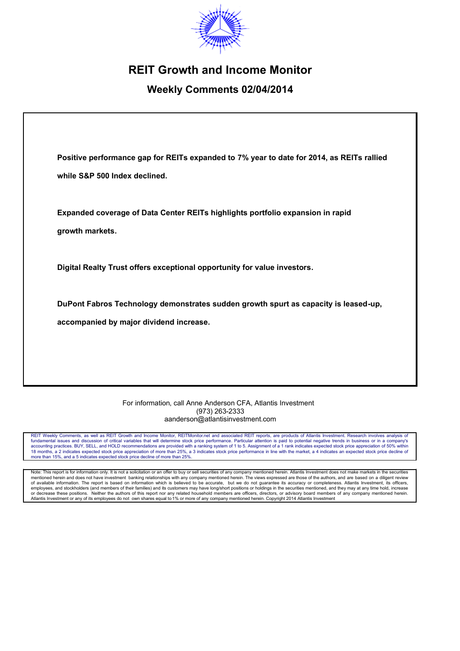

# **REIT Growth and Income Monitor**

# **Weekly Comments 02/04/2014**

| Positive performance gap for REITs expanded to 7% year to date for 2014, as REITs rallied |
|-------------------------------------------------------------------------------------------|
| while S&P 500 Index declined.                                                             |
| Expanded coverage of Data Center REITs highlights portfolio expansion in rapid            |
| growth markets.                                                                           |
| Digital Realty Trust offers exceptional opportunity for value investors.                  |
| DuPont Fabros Technology demonstrates sudden growth spurt as capacity is leased-up,       |
| accompanied by major dividend increase.                                                   |
|                                                                                           |

#### For information, call Anne Anderson CFA, Atlantis Investment (973) 263-2333 aanderson@atlantisinvestment.com

REIT Weekly Comments, as well as REIT Growth and Income Monitor, REITMonitor.net and associated REIT reports, are products of Atlantis Investment. Research involves analysis of<br>fundamental issues and discussion of critical 18 months, a 2 indicates expected stock price appreciation of more than 25%, a 3 indicates stock price performance in line with the market, a 4 indicates an expected stock price decline of more than 15%, and a 5 indicates expected stock price decline of more than 25%.

Note: This report is for information only. It is not a solicitation or an offer to buy or sell securities of any company mentioned herein. Atlantis Investment does not make markets in the securities mentioned herein and does not have investment banking relationships with any company mentioned herein. The views expressed are those of the authors, and are based on a diligent review of available information. The report is based on information which is believed to be accurate, but we do not guarantee its accuracy or completeness. Atlantis Investment, its officers,<br>employees, and stockholders (and membe or decrease these positions. Neither the authors of this report nor any related household members are officers, directors, or advisory board members of any company mentioned herein.<br>Atlantis Investment or any of its employ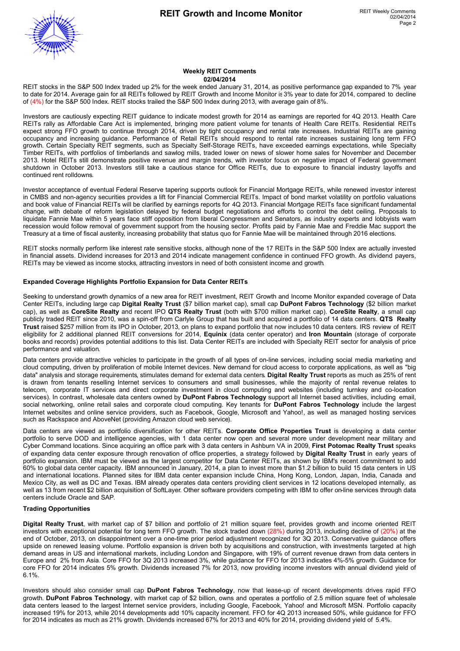

#### **Weekly REIT Comments 02/04/2014**

REIT stocks in the S&P 500 Index traded up 2% for the week ended January 31, 2014, as positive performance gap expanded to 7% year to date for 2014. Average gain for all REITs followed by REIT Growth and Income Monitor is3% year to date for 2014, compared to decline of (4%) for the S&P 500 Index. REIT stocks trailed the S&P 500 Index during 2013, with average gain of 8%.

Investors are cautiously expecting REIT guidance to indicate modest growth for 2014 as earnings are reported for 4Q 2013. Health Care REITs rally as Affordable Care Act is implemented, bringing more patient volume for tenants of Health Care REITs. Residential REITs expect strong FFO growth to continue through 2014, driven by tight occupancy and rental rate increases. Industrial REITs are gaining occupancy and increasing guidance. Performance of Retail REITs should respond to rental rate increases sustaining long term FFO growth. Certain Specialty REIT segments, such as Specialty Self-Storage REITs, have exceeded earnings expectations, while Specialty Timber REITs, with portfolios of timberlands and sawlog mills, traded lower on news of slower home sales for November and December 2013. Hotel REITs still demonstrate positive revenue and margin trends, with investor focus on negative impact of Federal government shutdown in October 2013. Investors still take a cautious stance for Office REITs, due to exposure to financial industry layoffs and continued rent rolldowns.

Investor acceptance of eventual Federal Reserve tapering supports outlook for Financial Mortgage REITs, while renewed investor interest in CMBS and non-agency securities provides a lift for Financial Commercial REITs. Impact of bond market volatility on portfolio valuations and book value of Financial REITs will be clarified by earnings reports for 4Q 2013. Financial Mortgage REITs face significant fundamental change, with debate of reform legislation delayed by federal budget negotiations and efforts to control the debt ceiling. Proposals to liquidate Fannie Mae within 5 years face stiff opposition from liberal Congressmen and Senators, as industry experts and lobbyists warn recession would follow removal of government support from the housing sector. Profits paid by Fannie Mae and Freddie Mac support the Treasury at a time of fiscal austerity, increasing probability that status quo for Fannie Mae will be maintained through 2016 elections.

REIT stocks normally perform like interest rate sensitive stocks, although none of the 17 REITs in the S&P 500 Index are actually invested in financial assets. Dividend increases for 2013 and 2014 indicate management confidence in continued FFO growth. As dividend payers, REITs may be viewed as income stocks, attracting investors in need of both consistent income and growth.

#### **Expanded Coverage Highlights Portfolio Expansion for Data Center REITs**

Seeking to understand growth dynamics of a new area for REIT investment, REIT Growth and Income Monitor expanded coverage of Data Center REITs, including large cap **Digital Realty Trust** (\$7 billion market cap), small cap **DuPont Fabros Technology** (\$2 billion market cap), as well as **CoreSite Realty** and recent IPO **QTS Realty Trust** (both with \$700 million market cap). **CoreSite Realty**, a small cap publicly traded REIT since 2010, was a spin-off from Carlyle Group that has built and acquired a portfolio of 14 data centers. **QTS Realty Trust** raised \$257 million from its IPO in October, 2013, on plans to expand portfolio that now includes 10 data centers. IRS review of REIT eligibility for 2 additional planned REIT conversions for 2014, **Equinix** (data center operator) and **Iron Mountain** (storage of corporate books and records) provides potential additions to this list. Data Center REITs are included with Specialty REIT sector for analysis of price performance and valuation.

Data centers provide attractive vehicles to participate in the growth of all types of on-line services, including social media marketing and cloud computing, driven by proliferation of mobile Internet devices. New demand for cloud access to corporate applications, as well as "big data" analysis and storage requirements, stimulates demand for external data centers. **Digital Realty Trust** reports as much as 25% of rent is drawn from tenants reselling Internet services to consumers and small businesses, while the majority of rental revenue relates to telecom, corporate IT services and direct corporate investment in cloud computing and websites (including turnkey and co-location services). In contrast, wholesale data centers owned by **DuPont Fabros Technology** support all Internet based activities, including email, social networking, online retail sales and corporate cloud computing. Key tenants for **DuPont Fabros Technology** include the largest Internet websites and online service providers, such as Facebook, Google, Microsoft and Yahoo!, as well as managed hosting services such as Rackspace and AboveNet (providing Amazon cloud web service).

Data centers are viewed as portfolio diversification for other REITs. **Corporate Office Properties Trust** is developing a data center portfolio to serve DOD and intelligence agencies, with 1 data center now open and several more under development near military and Cyber Command locations. Since acquiring an office park with 3 data centers in Ashburn VA in 2009, **First Potomac Realty Trust** speaks of expanding data center exposure through renovation of office properties, a strategy followed by **Digital Realty Trust** in early years of portfolio expansion. IBM must be viewed as the largest competitor for Data Center REITs, as shown by IBM's recent commitment to add 60% to global data center capacity. IBM announced in January, 2014, a plan to invest more than \$1.2 billion to build 15 data centers in US and international locations. Planned sites for IBM data center expansion include China, Hong Kong, London, Japan, India, Canada and Mexico City, as well as DC and Texas. IBM already operates data centers providing client services in 12 locations developed internally, as well as 13 from recent \$2 billion acquisition of SoftLayer. Other software providers competing with IBM to offer on-line services through data centers include Oracle and SAP.

#### **Trading Opportunities**

**Digital Realty Trust**, with market cap of \$7 billion and portfolio of 21 million square feet, provides growth and income oriented REIT investors with exceptional potential for long term FFO growth. The stock traded down (28%) during 2013, including decline of (20%) at the end of October, 2013, on disappointment over a one-time prior period adjustment recognized for 3Q 2013. Conservative guidance offers upside on renewed leasing volume. Portfolio expansion is driven both by acquisitions and construction, with investments targeted at high demand areas in US and international markets, including London and Singapore, with 19% of current revenue drawn from data centers in Europe and 2% from Asia. Core FFO for 3Q 2013 increased 3%, while guidance for FFO for 2013 indicates 4%-5% growth. Guidance for core FFO for 2014 indicates 5% growth. Dividends increased 7% for 2013, now providing income investors with annual dividend yield of 6.1%.

Investors should also consider small cap **DuPont Fabros Technology**, now that lease-up of recent developments drives rapid FFO growth. **DuPont Fabros Technology**, with market cap of \$2 billion, owns and operates a portfolio of 2.5 million square feet of wholesale data centers leased to the largest Internet service providers, including Google, Facebook, Yahoo! and Microsoft MSN. Portfolio capacity increased 19% for 2013, while 2014 developments add 10% capacity increment. FFO for 4Q 2013 increased 50%, while guidance for FFO for 2014 indicates as much as 21% growth. Dividends increased 67% for 2013 and 40% for 2014, providing dividend yield of 5.4%.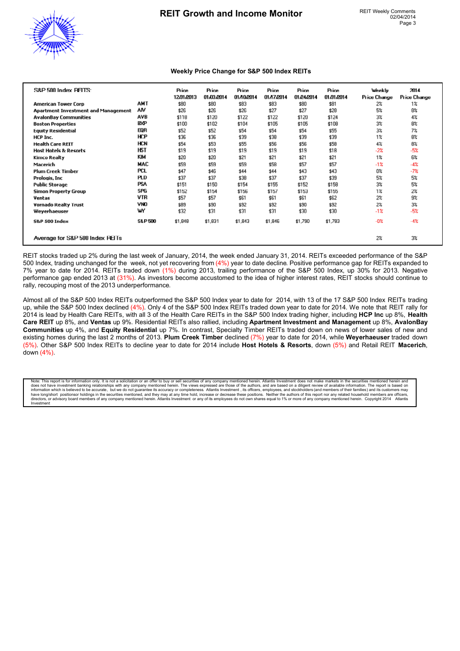

#### **Weekly Price Change for S&P 500 Index REITs**

| S&P 500 Index PFITS:                |                    | Price<br>12/31/2013 | Price<br>01.03.2014 | Price<br>01/10/2014 | Price<br>01/17/2014 | Price<br>01/24/2014 | Price<br>01/31/2014 | Weekly<br>Price Change | 2014<br><b>Price Change</b> |  |
|-------------------------------------|--------------------|---------------------|---------------------|---------------------|---------------------|---------------------|---------------------|------------------------|-----------------------------|--|
| <b>American Tower Corp</b>          | AMT                | \$80                | \$80                | \$83                | \$83                | \$80                | \$81                | $2\%$                  | $1\%$                       |  |
| Apartment Investment and Management | ٨M                 | \$26                | \$26                | \$26                | \$27                | \$27                | \$28                | 5%                     | 8%                          |  |
| <b>AvalonBay Communities</b>        | AVB                | \$118               | \$120               | \$122               | \$122               | \$120               | \$124               | $3\%$                  | 4%                          |  |
| <b>Boston Properties</b>            | <b>BXP</b>         | \$100               | \$102               | \$104               | \$105               | \$105               | \$108               | $3\%$                  | 8%                          |  |
| <b>Equity Residential</b>           | EQR                | \$52                | \$52                | \$54                | \$54                | \$54                | \$55                | $3\%$                  | 7%                          |  |
| HCP Inc.                            | HCP                | \$36                | \$36                | \$39                | \$38                | \$39                | \$39                | $1\%$                  | 8%                          |  |
| <b>Health Care REIT</b>             | HCN                | \$54                | \$53                | \$55                | \$56                | \$56                | \$58                | $4\%$                  | 8%                          |  |
| <b>Host Hotels &amp; Resorts</b>    | HST                | \$19                | \$19                | \$19                | \$19                | \$19                | \$18                | $-2%$                  | $-5%$                       |  |
| Kimco Realty                        | KIM                | \$20                | \$20                | \$21                | \$21                | \$21                | \$21                | $1\%$                  | 6%                          |  |
| Macerich                            | MAC                | \$59                | \$59                | \$59                | \$58                | \$57                | \$57                | $-1%$                  | $-4%$                       |  |
| <b>Plum Creek Timber</b>            | <b>PCL</b>         | \$47                | \$46                | \$44                | \$44                | \$43                | \$43                | 0%                     | $-7%$                       |  |
| Prologis, Inc                       | <b>PLD</b>         | \$37                | \$37                | \$38                | \$37                | \$37                | \$39                | 5%                     | 5%                          |  |
| <b>Public Storage</b>               | <b>PSA</b>         | \$151               | \$150               | \$154               | \$155               | \$152               | \$158               | $3\%$                  | 5%                          |  |
| Simon Property Group                | SPG                | \$152               | \$154               | \$156               | \$157               | \$153               | \$155               | $1\%$                  | 2%                          |  |
| Ventas                              | VTR                | \$57                | \$57                | \$61                | \$61                | \$61                | \$62                | $2\%$                  | 9%                          |  |
| <b>Vornado Realty Trust</b>         | VNO                | \$89                | \$90                | \$92                | \$92                | \$90                | \$92                | 2%                     | 3%                          |  |
| Weyerhaeuser                        | w                  | \$32                | \$31                | \$31                | \$31                | \$30                | \$30                | $-1%$                  | $-5%$                       |  |
| <b>S&amp;P 500 Index</b>            | <b>S&amp;P 500</b> | \$1,848             | \$1,831             | \$1,843             | \$1,846             | \$1,790             | \$1,783             | $-0\%$                 | $-4%$                       |  |
| Average for S&P 500 Index PEITs     |                    |                     |                     |                     |                     |                     |                     | 2%                     | 3%                          |  |

REIT stocks traded up 2% during the last week of January, 2014, the week ended January 31, 2014. REITs exceeded performance of the S&P 500 Index, trading unchanged for the week, not yet recovering from (4%) year to date decline. Positive performance gap for REITs expanded to 7% year to date for 2014. REITs traded down (1%) during 2013, trailing performance of the S&P 500 Index, up 30% for 2013. Negative performance gap ended 2013 at (31%). As investors become accustomed to the idea of higher interest rates, REIT stocks should continue to rally, recouping most of the 2013 underperformance.

Almost all of the S&P 500 Index REITs outperformed the S&P 500 Index year to date for 2014, with 13 of the 17 S&P 500 Index REITs trading up, while the S&P 500 Index declined (4%). Only 4 of the S&P 500 Index REITs traded down year to date for 2014. We note that REIT rally for 2014 is lead by Health Care REITs, with all 3 of the Health Care REITs in the S&P 500 Index trading higher, including **HCP Inc** up 8%, **Health Care REIT** up 8%, and **Ventas** up 9%. Residential REITs also rallied, including **Apartment Investment and Management** up 8%, **AvalonBay Communities** up 4%, and **Equity Residential** up 7%. In contrast, Specialty Timber REITs traded down on news of lower sales of new and existing homes during the last 2 months of 2013. **Plum Creek Timber** declined (7%) year to date for 2014, while **Weyerhaeuser** traded down (5%). Other S&P 500 Index REITs to decline year to date for 2014 include **Host Hotels & Resorts**, down (5%) and Retail REIT **Macerich**, down (4%).

Note: This report is for information only. It is not a solicitation or an offer to buy or sell securities of any company mentioned herein. Atlantis Investment does not make markets in the securities mentioned herein and do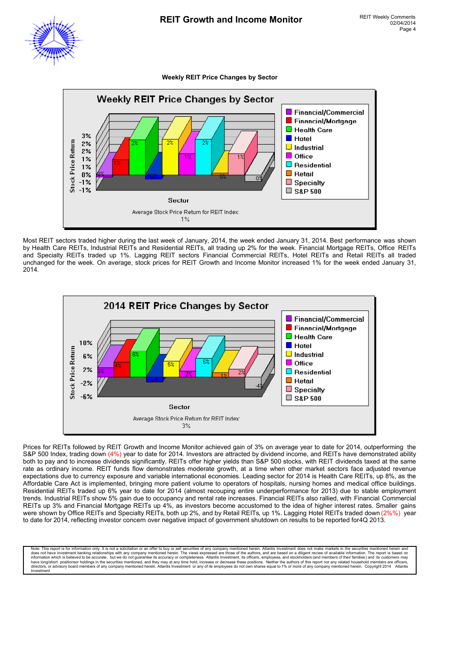#### **Weekly REIT Price Changes by Sector**



Most REIT sectors traded higher during the last week of January, 2014, the week ended January 31, 2014. Best performance was shown by Health Care REITs, Industrial REITs and Residential REITs, all trading up 2% for the week. Financial Mortgage REITs, Office REITs and Specialty REITs traded up 1%. Lagging REIT sectors Financial Commercial REITs, Hotel REITs and Retail REITs all traded unchanged for the week. On average, stock prices for REIT Growth and Income Monitor increased 1% for the week ended January 31, 2014.



Prices for REITs followed by REIT Growth and Income Monitor achieved gain of 3% on average year to date for 2014, outperforming the S&P 500 Index, trading down (4%) year to date for 2014. Investors are attracted by dividend income, and REITs have demonstrated ability both to pay and to increase dividends significantly. REITs offer higher yields than S&P 500 stocks, with REIT dividends taxed at the same rate as ordinary income. REIT funds flow demonstrates moderate growth, at a time when other market sectors face adjusted revenue expectations due to currency exposure and variable international economies. Leading sector for 2014 is Health Care REITs, up 8%, as the Affordable Care Act is implemented, bringing more patient volume to operators of hospitals, nursing homes and medical office buildings. Residential REITs traded up 6% year to date for 2014 (almost recouping entire underperformance for 2013) due to stable employment trends. Industrial REITs show 5% gain due to occupancy and rental rate increases. Financial REITs also rallied, with Financial Commercial REITs up 3% and Financial Mortgage REITs up 4%, as investors become accustomed to the idea of higher interest rates. Smaller gains were shown by Office REITs and Specialty REITs, both up 2%, and by Retail REITs, up 1%. Lagging Hotel REITs traded down (2%%) year to date for 2014, reflecting investor concern over negative impact of government shutdown on results to be reported for 4Q 2013.

Note: This report is for information only. It is not a solicitation or an offer to buy or sell securities of any company mentioned herein. Atlantis Investment does not make markets in the securities mentioned herein and do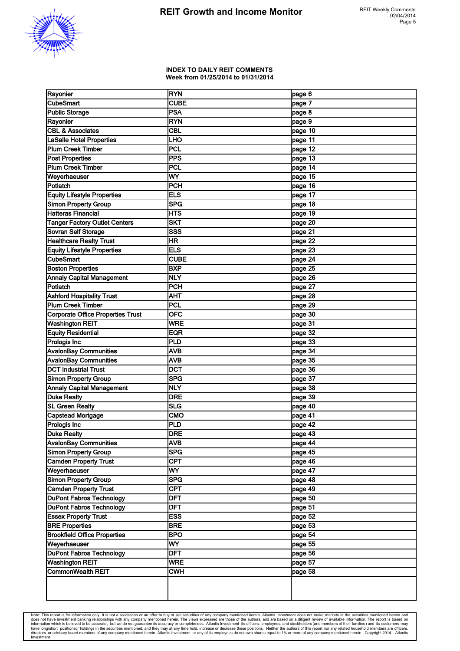

#### **INDEX TO DAILY REIT COMMENTS Week from 01/25/2014 to 01/31/2014**

| Rayonier                             | <b>RYN</b>  | page 6  |
|--------------------------------------|-------------|---------|
| <b>CubeSmart</b>                     | <b>CUBE</b> | page 7  |
| <b>Public Storage</b>                | <b>PSA</b>  | page 8  |
| Rayonier                             | <b>RYN</b>  | page 9  |
| <b>CBL &amp; Associates</b>          | <b>CBL</b>  | page 10 |
| <b>LaSalle Hotel Properties</b>      | <b>LHO</b>  | page 11 |
| Plum Creek Timber                    | PCL         | page 12 |
| <b>Post Properties</b>               | PPS         | page 13 |
| <b>Plum Creek Timber</b>             | PCL         | page 14 |
| Weyerhaeuser                         | WY          | page 15 |
| Potlatch                             | PCH         | page 16 |
| <b>Equity Lifestyle Properties</b>   | <b>ELS</b>  | page 17 |
| <b>Simon Property Group</b>          | <b>SPG</b>  | page 18 |
| <b>Hatteras Financial</b>            | HTS         | page 19 |
| <b>Tanger Factory Outlet Centers</b> | <b>SKT</b>  | page 20 |
| Sovran Self Storage                  | <b>SSS</b>  | page 21 |
| <b>Healthcare Realty Trust</b>       | HR          | page 22 |
| <b>Equity Lifestyle Properties</b>   | <b>ELS</b>  | page 23 |
| <b>CubeSmart</b>                     | <b>CUBE</b> | page 24 |
| <b>Boston Properties</b>             | <b>BXP</b>  | page 25 |
| <b>Annaly Capital Management</b>     | <b>NLY</b>  | page 26 |
| Potlatch                             | PCH         |         |
|                                      |             | page 27 |
| <b>Ashford Hospitality Trust</b>     | AHT<br>PCL  | page 28 |
| <b>Plum Creek Timber</b>             |             | page 29 |
| Corporate Office Properties Trust    | <b>OFC</b>  | page 30 |
| <b>Washington REIT</b>               | <b>WRE</b>  | page 31 |
| <b>Equity Residential</b>            | <b>EQR</b>  | page 32 |
| <b>Prologis Inc</b>                  | PLD         | page 33 |
| <b>AvalonBay Communities</b>         | <b>AVB</b>  | page 34 |
| <b>AvalonBay Communities</b>         | <b>AVB</b>  | page 35 |
| <b>DCT Industrial Trust</b>          | <b>DCT</b>  | page 36 |
| <b>Simon Property Group</b>          | <b>SPG</b>  | page 37 |
| <b>Annaly Capital Management</b>     | <b>NLY</b>  | page 38 |
| <b>Duke Realty</b>                   | <b>DRE</b>  | page 39 |
| <b>SL Green Realty</b>               | <b>SLG</b>  | page 40 |
| Capstead Mortgage                    | <b>CMO</b>  | page 41 |
| Prologis Inc                         | PLD         | page 42 |
| <b>Duke Realty</b>                   | DRE         | page 43 |
| <b>AvalonBay Communities</b>         | <b>AVB</b>  | page 44 |
| <b>Simon Property Group</b>          | <b>SPG</b>  | page 45 |
| <b>Camden Property Trust</b>         | <b>CPT</b>  | page 46 |
| Weyerhaeuser                         | <b>WY</b>   | page 47 |
| <b>Simon Property Group</b>          | <b>SPG</b>  | page 48 |
| <b>Camden Property Trust</b>         | <b>CPT</b>  | page 49 |
| <b>DuPont Fabros Technology</b>      | DFT         | page 50 |
| <b>DuPont Fabros Technology</b>      | <b>DFT</b>  | page 51 |
| <b>Essex Property Trust</b>          | <b>ESS</b>  | page 52 |
| <b>BRE Properties</b>                | <b>BRE</b>  | page 53 |
| <b>Brookfield Office Properties</b>  | <b>BPO</b>  | page 54 |
| Weyerhaeuser                         | <b>WY</b>   | page 55 |
| <b>DuPont Fabros Technology</b>      | <b>DFT</b>  | page 56 |
| <b>Washington REIT</b>               | <b>WRE</b>  | page 57 |
| <b>CommonWealth REIT</b>             | <b>CWH</b>  | page 58 |
|                                      |             |         |
|                                      |             |         |

Note: This report is for information only. It is not a solicitation or an offer to buy or sell securities of any company mentioned herein. Atlantis Investment does not make markets in the securities mentioned herein and do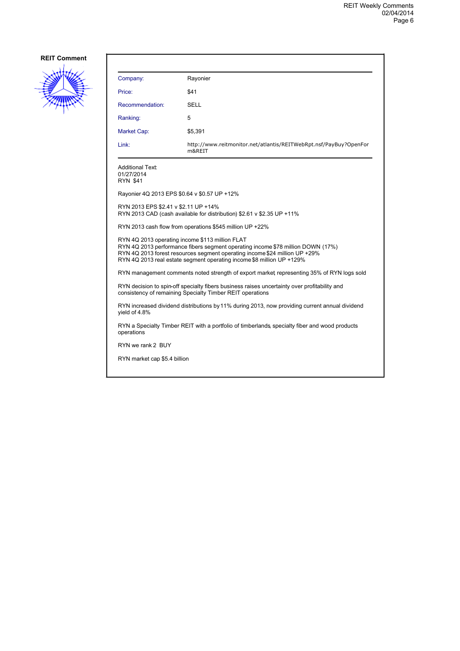

| Company:                                                                                                                                                                                                                                                                                  | Rayonier                                                                                                                                                  |  |
|-------------------------------------------------------------------------------------------------------------------------------------------------------------------------------------------------------------------------------------------------------------------------------------------|-----------------------------------------------------------------------------------------------------------------------------------------------------------|--|
| Price:                                                                                                                                                                                                                                                                                    | \$41                                                                                                                                                      |  |
| Recommendation:                                                                                                                                                                                                                                                                           | SELL                                                                                                                                                      |  |
| Ranking:                                                                                                                                                                                                                                                                                  | 5                                                                                                                                                         |  |
| Market Cap:                                                                                                                                                                                                                                                                               | \$5,391                                                                                                                                                   |  |
| Link:                                                                                                                                                                                                                                                                                     | http://www.reitmonitor.net/atlantis/REITWebRpt.nsf/PayBuy?OpenFor<br>m&REIT                                                                               |  |
| <b>Additional Text:</b><br>01/27/2014<br><b>RYN \$41</b>                                                                                                                                                                                                                                  |                                                                                                                                                           |  |
| Rayonier 4Q 2013 EPS \$0.64 v \$0.57 UP +12%                                                                                                                                                                                                                                              |                                                                                                                                                           |  |
| RYN 2013 EPS \$2.41 v \$2.11 UP +14%                                                                                                                                                                                                                                                      | RYN 2013 CAD (cash available for distribution) \$2.61 v \$2.35 UP +11%                                                                                    |  |
|                                                                                                                                                                                                                                                                                           | RYN 2013 cash flow from operations \$545 million UP +22%                                                                                                  |  |
| RYN 4Q 2013 operating income \$113 million FLAT<br>RYN 4Q 2013 performance fibers segment operating income \$78 million DOWN (17%)<br>RYN 4Q 2013 forest resources segment operating income \$24 million UP +29%<br>RYN 4Q 2013 real estate segment operating income \$8 million UP +129% |                                                                                                                                                           |  |
|                                                                                                                                                                                                                                                                                           | RYN management comments noted strength of export market representing 35% of RYN logs sold                                                                 |  |
|                                                                                                                                                                                                                                                                                           | RYN decision to spin-off specialty fibers business raises uncertainty over profitability and<br>consistency of remaining Specialty Timber REIT operations |  |
| vield of 4.8%                                                                                                                                                                                                                                                                             | RYN increased dividend distributions by 11% during 2013, now providing current annual dividend                                                            |  |
| operations                                                                                                                                                                                                                                                                                | RYN a Specialty Timber REIT with a portfolio of timberlands specialty fiber and wood products                                                             |  |
| RYN we rank 2 BUY                                                                                                                                                                                                                                                                         |                                                                                                                                                           |  |
| RYN market cap \$5.4 billion                                                                                                                                                                                                                                                              |                                                                                                                                                           |  |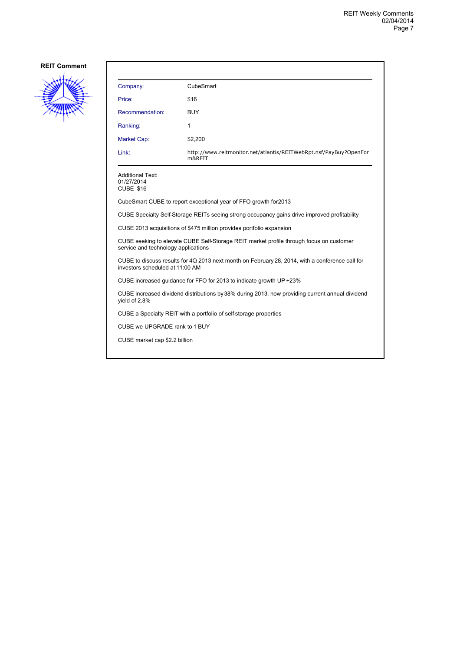

| Company:                                                                                                                           | CubeSmart                                                                                       |  |
|------------------------------------------------------------------------------------------------------------------------------------|-------------------------------------------------------------------------------------------------|--|
| Price:                                                                                                                             | \$16                                                                                            |  |
| Recommendation:                                                                                                                    | <b>BUY</b>                                                                                      |  |
| Ranking:                                                                                                                           | 1                                                                                               |  |
| <b>Market Cap:</b>                                                                                                                 | \$2,200                                                                                         |  |
| Link:                                                                                                                              | http://www.reitmonitor.net/atlantis/REITWebRpt.nsf/PayBuy?OpenFor<br>m&REIT                     |  |
| <b>Additional Text:</b><br>01/27/2014<br><b>CUBE \$16</b>                                                                          |                                                                                                 |  |
|                                                                                                                                    | CubeSmart CUBE to report exceptional year of FFO growth for 2013                                |  |
|                                                                                                                                    | CUBE Specialty Self-Storage REITs seeing strong occupancy gains drive improved profitability    |  |
|                                                                                                                                    | CUBE 2013 acquisitions of \$475 million provides portfolio expansion                            |  |
| CUBE seeking to elevate CUBE Self-Storage REIT market profile through focus on customer<br>service and technology applications     |                                                                                                 |  |
| CUBE to discuss results for 4Q 2013 next month on February 28, 2014, with a conference call for<br>investors scheduled at 11:00 AM |                                                                                                 |  |
|                                                                                                                                    | CUBE increased guidance for FFO for 2013 to indicate growth UP +23%                             |  |
| vield of 2.8%                                                                                                                      | CUBE increased dividend distributions by 38% during 2013, now providing current annual dividend |  |
| CUBE a Specialty REIT with a portfolio of self-storage properties                                                                  |                                                                                                 |  |
| CUBE we UPGRADE rank to 1 BUY                                                                                                      |                                                                                                 |  |
| CUBE market cap \$2.2 billion                                                                                                      |                                                                                                 |  |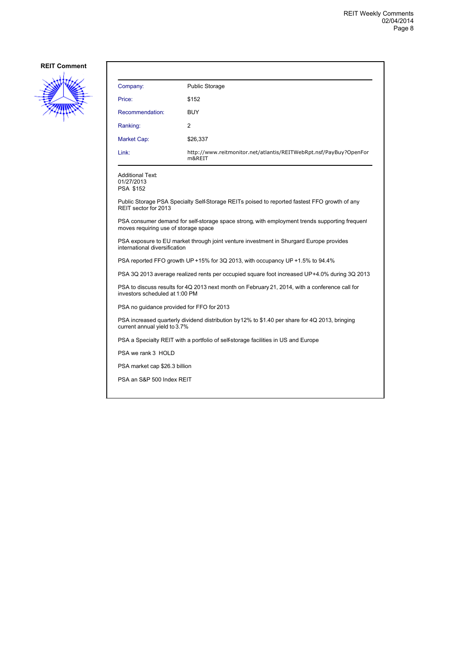

| <b>Public Storage</b>                                                       |
|-----------------------------------------------------------------------------|
| \$152                                                                       |
| <b>BUY</b>                                                                  |
| 2                                                                           |
| \$26,337                                                                    |
| http://www.reitmonitor.net/atlantis/REITWebRpt.nsf/PayBuy?OpenFor<br>m&REIT |
|                                                                             |

Additional Text: 01/27/2013 PSA \$152

Public Storage PSA Specialty Self-Storage REITs poised to reported fastest FFO growth of any REIT sector for 2013

PSA consumer demand for self-storage space strong, with employment trends supporting frequent moves requiring use of storage space

PSA exposure to EU market through joint venture investment in Shurgard Europe provides international diversification

PSA reported FFO growth UP +15% for 3Q 2013, with occupancy UP +1.5% to 94.4%

PSA 3Q 2013 average realized rents per occupied square foot increased UP +4.0% during 3Q 2013

PSA to discuss results for 4Q 2013 next month on February 21, 2014, with a conference call for investors scheduled at 1:00 PM

PSA no guidance provided for FFO for 2013

PSA increased quarterly dividend distribution by 12% to \$1.40 per share for 4Q 2013, bringing current annual yield to 3.7%

PSA a Specialty REIT with a portfolio of self-storage facilities in US and Europe

PSA we rank 3 HOLD

PSA market cap \$26.3 billion

PSA an S&P 500 Index REIT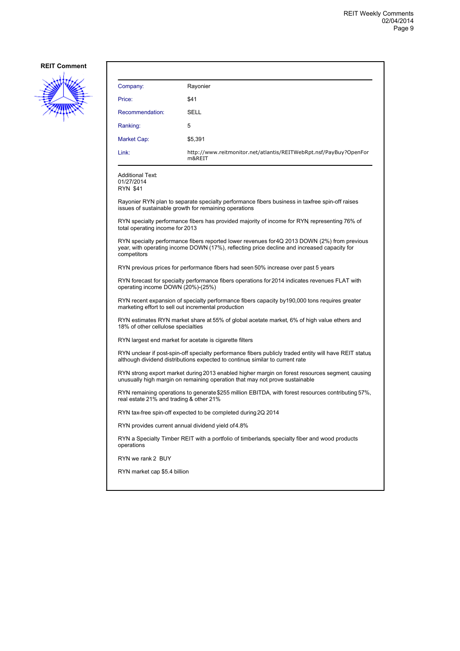

| Company:                                                                                                                                             | Rayonier                                                                                                                                                                                    |  |  |  |
|------------------------------------------------------------------------------------------------------------------------------------------------------|---------------------------------------------------------------------------------------------------------------------------------------------------------------------------------------------|--|--|--|
| Price:                                                                                                                                               | \$41                                                                                                                                                                                        |  |  |  |
| Recommendation:                                                                                                                                      | <b>SELL</b>                                                                                                                                                                                 |  |  |  |
| Ranking:                                                                                                                                             | 5                                                                                                                                                                                           |  |  |  |
| Market Cap:                                                                                                                                          | \$5,391                                                                                                                                                                                     |  |  |  |
| Link:                                                                                                                                                | http://www.reitmonitor.net/atlantis/REITWebRpt.nsf/PayBuy?OpenFor<br>m&REIT                                                                                                                 |  |  |  |
| Additional Text:<br>01/27/2014<br>RYN \$41                                                                                                           |                                                                                                                                                                                             |  |  |  |
|                                                                                                                                                      | Rayonier RYN plan to separate specialty performance fibers business in taxfree spin-off raises<br>issues of sustainable growth for remaining operations                                     |  |  |  |
| total operating income for 2013                                                                                                                      | RYN specialty performance fibers has provided majority of income for RYN representing 76% of                                                                                                |  |  |  |
| competitors                                                                                                                                          | RYN specialty performance fibers reported lower revenues for 4Q 2013 DOWN (2%) from previous<br>year, with operating income DOWN (17%), reflecting price decline and increased capacity for |  |  |  |
|                                                                                                                                                      | RYN previous prices for performance fibers had seen 50% increase over past 5 years                                                                                                          |  |  |  |
| RYN forecast for specialty performance fibers operations for 2014 indicates revenues FLAT with<br>operating income DOWN (20%)-(25%)                  |                                                                                                                                                                                             |  |  |  |
| RYN recent expansion of specialty performance fibers capacity by190,000 tons requires greater<br>marketing effort to sell out incremental production |                                                                                                                                                                                             |  |  |  |
| RYN estimates RYN market share at 55% of global acetate market, 6% of high value ethers and<br>18% of other cellulose specialties                    |                                                                                                                                                                                             |  |  |  |
|                                                                                                                                                      | RYN largest end market for acetate is cigarette filters                                                                                                                                     |  |  |  |
|                                                                                                                                                      | RYN unclear if post-spin-off specialty performance fibers publicly traded entity will have REIT status<br>although dividend distributions expected to continue similar to current rate      |  |  |  |
|                                                                                                                                                      | RYN strong export market during 2013 enabled higher margin on forest resources segment causing<br>unusually high margin on remaining operation that may not prove sustainable               |  |  |  |
| real estate 21% and trading & other 21%                                                                                                              | RYN remaining operations to generate \$255 million EBITDA, with forest resources contributing 57%,                                                                                          |  |  |  |
| RYN tax-free spin-off expected to be completed during 2Q 2014                                                                                        |                                                                                                                                                                                             |  |  |  |
|                                                                                                                                                      | RYN provides current annual dividend yield of 4.8%                                                                                                                                          |  |  |  |
| operations                                                                                                                                           | RYN a Specialty Timber REIT with a portfolio of timberlands specialty fiber and wood products                                                                                               |  |  |  |
| RYN we rank 2 BUY                                                                                                                                    |                                                                                                                                                                                             |  |  |  |
| RYN market cap \$5.4 billion                                                                                                                         |                                                                                                                                                                                             |  |  |  |
|                                                                                                                                                      |                                                                                                                                                                                             |  |  |  |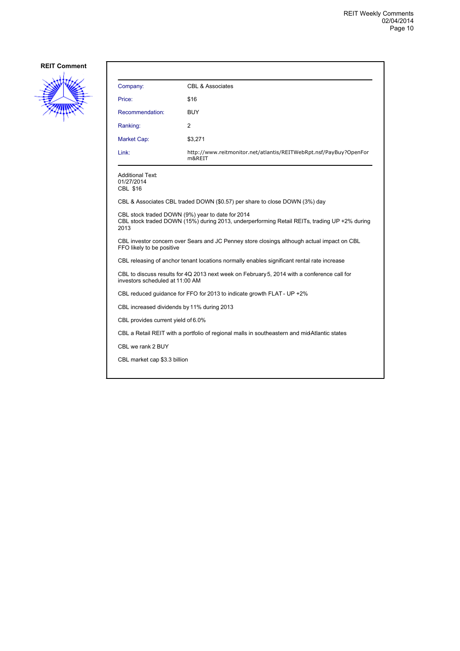

| Company:                                                                                                                       | <b>CBL &amp; Associates</b>                                                                                                                      |  |  |
|--------------------------------------------------------------------------------------------------------------------------------|--------------------------------------------------------------------------------------------------------------------------------------------------|--|--|
| Price:                                                                                                                         | \$16                                                                                                                                             |  |  |
| Recommendation:                                                                                                                | <b>BUY</b>                                                                                                                                       |  |  |
| Ranking:                                                                                                                       | 2                                                                                                                                                |  |  |
| Market Cap:                                                                                                                    | \$3,271                                                                                                                                          |  |  |
| Link:                                                                                                                          | http://www.reitmonitor.net/atlantis/REITWebRpt.nsf/PayBuy?OpenFor<br>m&REIT                                                                      |  |  |
| Additional Text:<br>01/27/2014<br><b>CBL \$16</b>                                                                              |                                                                                                                                                  |  |  |
|                                                                                                                                | CBL & Associates CBL traded DOWN (\$0.57) per share to close DOWN (3%) day                                                                       |  |  |
| 2013                                                                                                                           | CBL stock traded DOWN (9%) year to date for 2014<br>CBL stock traded DOWN (15%) during 2013, underperforming Retail REITs, trading UP +2% during |  |  |
| FFO likely to be positive                                                                                                      | CBL investor concern over Sears and JC Penney store closings although actual impact on CBL                                                       |  |  |
| CBL releasing of anchor tenant locations normally enables significant rental rate increase                                     |                                                                                                                                                  |  |  |
| CBL to discuss results for 4Q 2013 next week on February 5, 2014 with a conference call for<br>investors scheduled at 11:00 AM |                                                                                                                                                  |  |  |
| CBL reduced guidance for FFO for 2013 to indicate growth FLAT - UP +2%                                                         |                                                                                                                                                  |  |  |
| CBL increased dividends by 11% during 2013                                                                                     |                                                                                                                                                  |  |  |
| CBL provides current yield of 6.0%                                                                                             |                                                                                                                                                  |  |  |
| CBL a Retail REIT with a portfolio of regional malls in southeastern and midAtlantic states                                    |                                                                                                                                                  |  |  |
| CBL we rank 2 BUY                                                                                                              |                                                                                                                                                  |  |  |
| CBL market cap \$3.3 billion                                                                                                   |                                                                                                                                                  |  |  |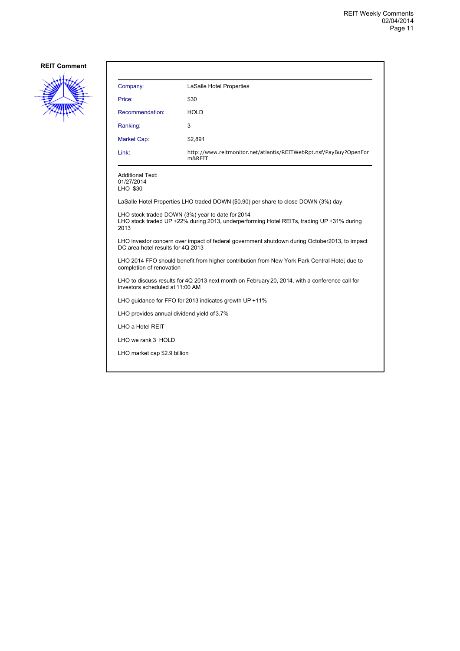

| Company:                                                                                                                  | LaSalle Hotel Properties                                                                                                                      |  |
|---------------------------------------------------------------------------------------------------------------------------|-----------------------------------------------------------------------------------------------------------------------------------------------|--|
| Price:                                                                                                                    | \$30                                                                                                                                          |  |
| Recommendation:                                                                                                           | <b>HOLD</b>                                                                                                                                   |  |
| Ranking:                                                                                                                  | 3                                                                                                                                             |  |
| Market Cap:                                                                                                               | \$2,891                                                                                                                                       |  |
| Link:                                                                                                                     | http://www.reitmonitor.net/atlantis/REITWebRpt.nsf/PayBuy?OpenFor<br>m&REIT                                                                   |  |
| Additional Text:<br>01/27/2014<br>LHO \$30                                                                                |                                                                                                                                               |  |
|                                                                                                                           | LaSalle Hotel Properties LHO traded DOWN (\$0.90) per share to close DOWN (3%) day                                                            |  |
| 2013                                                                                                                      | LHO stock traded DOWN (3%) year to date for 2014<br>LHO stock traded UP +22% during 2013, underperforming Hotel REITs, trading UP +31% during |  |
| DC area hotel results for 4Q 2013                                                                                         | LHO investor concern over impact of federal government shutdown during October2013, to impact                                                 |  |
| LHO 2014 FFO should benefit from higher contribution from New York Park Central Hotel, due to<br>completion of renovation |                                                                                                                                               |  |
| investors scheduled at 11:00 AM                                                                                           | LHO to discuss results for 4Q 2013 next month on February 20, 2014, with a conference call for                                                |  |
|                                                                                                                           | LHO guidance for FFO for 2013 indicates growth UP +11%                                                                                        |  |
| LHO provides annual dividend yield of 3.7%                                                                                |                                                                                                                                               |  |
| LHO a Hotel REIT                                                                                                          |                                                                                                                                               |  |
| LHO we rank 3 HOLD                                                                                                        |                                                                                                                                               |  |
| LHO market cap \$2.9 billion                                                                                              |                                                                                                                                               |  |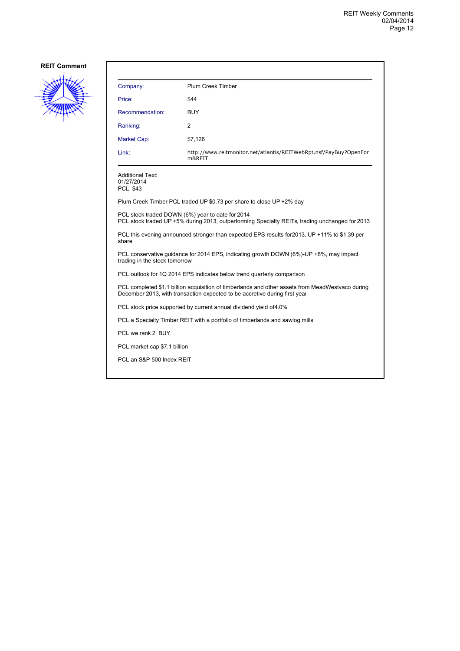

| Company:                                          | Plum Creek Timber                                                                                                                                                              |
|---------------------------------------------------|--------------------------------------------------------------------------------------------------------------------------------------------------------------------------------|
| Price:                                            | \$44                                                                                                                                                                           |
| Recommendation:                                   | BUY                                                                                                                                                                            |
| Ranking:                                          | 2                                                                                                                                                                              |
| Market Cap:                                       | \$7,126                                                                                                                                                                        |
| Link:                                             | http://www.reitmonitor.net/atlantis/REITWebRpt.nsf/PayBuy?OpenFor<br>m&REIT                                                                                                    |
| <b>Additional Text:</b><br>01/27/2014<br>PCL \$43 |                                                                                                                                                                                |
|                                                   | Plum Creek Timber PCL traded UP \$0.73 per share to close UP +2% day                                                                                                           |
|                                                   | PCL stock traded DOWN (6%) year to date for 2014<br>PCL stock traded UP +5% during 2013, outperforming Specialty REITs, trading unchanged for 2013                             |
| share                                             | PCL this evening announced stronger than expected EPS results for 2013, UP +11% to \$1.39 per                                                                                  |
| trading in the stock tomorrow                     | PCL conservative quidance for 2014 EPS, indicating growth DOWN (6%)-UP +8%, may impact                                                                                         |
|                                                   | PCL outlook for 1Q 2014 EPS indicates below trend quarterly comparison                                                                                                         |
|                                                   | PCL completed \$1.1 billion acquisition of timberlands and other assets from MeadWestvaco during<br>December 2013, with transaction expected to be accretive during first year |
|                                                   | PCL stock price supported by current annual dividend yield of 4.0%                                                                                                             |
|                                                   | PCL a Specialty Timber REIT with a portfolio of timberlands and sawlog mills                                                                                                   |
| PCL we rank 2 BUY                                 |                                                                                                                                                                                |
| PCL market cap \$7.1 billion                      |                                                                                                                                                                                |
| PCL an S&P 500 Index REIT                         |                                                                                                                                                                                |
|                                                   |                                                                                                                                                                                |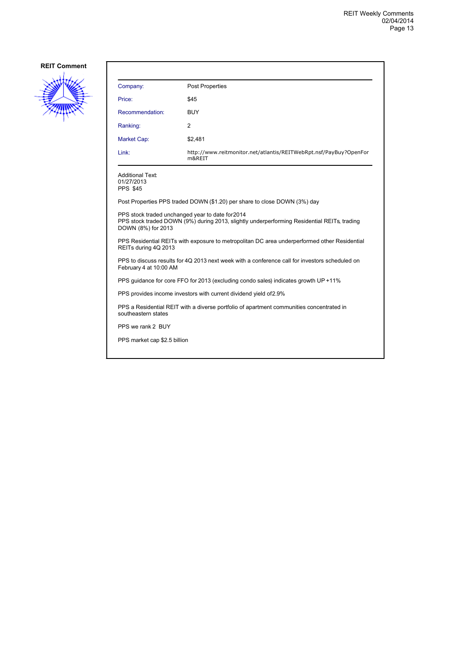

| Company:                                                                                                                 | <b>Post Properties</b>                                                                      |  |
|--------------------------------------------------------------------------------------------------------------------------|---------------------------------------------------------------------------------------------|--|
| Price:                                                                                                                   | \$45                                                                                        |  |
| Recommendation:                                                                                                          | <b>BUY</b>                                                                                  |  |
| Ranking:                                                                                                                 | 2                                                                                           |  |
| <b>Market Cap:</b>                                                                                                       | \$2,481                                                                                     |  |
| Link:                                                                                                                    | http://www.reitmonitor.net/atlantis/REITWebRpt.nsf/PayBuy?OpenFor<br>m&REIT                 |  |
| <b>Additional Text:</b><br>01/27/2013<br><b>PPS \$45</b>                                                                 |                                                                                             |  |
|                                                                                                                          | Post Properties PPS traded DOWN (\$1.20) per share to close DOWN (3%) day                   |  |
| PPS stock traded unchanged year to date for 2014<br>DOWN (8%) for 2013                                                   | PPS stock traded DOWN (9%) during 2013, slightly underperforming Residential REITs, trading |  |
| PPS Residential REITs with exposure to metropolitan DC area underperformed other Residential<br>REITs during 4Q 2013     |                                                                                             |  |
| PPS to discuss results for 4Q 2013 next week with a conference call for investors scheduled on<br>February 4 at 10:00 AM |                                                                                             |  |
|                                                                                                                          | PPS guidance for core FFO for 2013 (excluding condo sales) indicates growth UP +11%         |  |
| PPS provides income investors with current dividend yield of 2.9%                                                        |                                                                                             |  |
| PPS a Residential REIT with a diverse portfolio of apartment communities concentrated in<br>southeastern states          |                                                                                             |  |
| PPS we rank 2 BUY                                                                                                        |                                                                                             |  |
| PPS market cap \$2.5 billion                                                                                             |                                                                                             |  |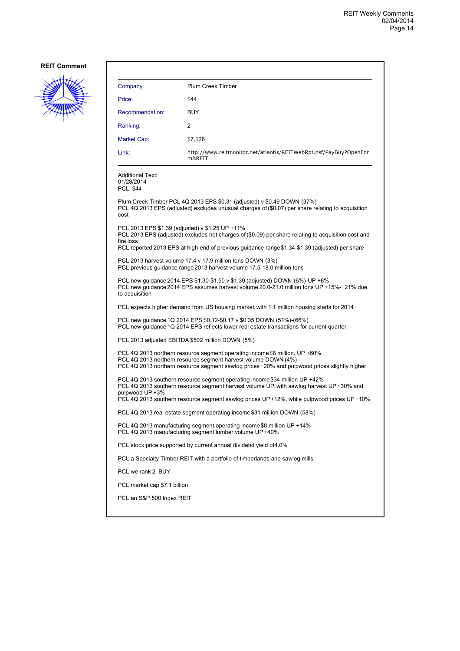

| Company:                                                 | <b>Plum Creek Timber</b>                                                                                                                                                                                                                                            |
|----------------------------------------------------------|---------------------------------------------------------------------------------------------------------------------------------------------------------------------------------------------------------------------------------------------------------------------|
| Price:                                                   | \$44                                                                                                                                                                                                                                                                |
| Recommendation:                                          | <b>BUY</b>                                                                                                                                                                                                                                                          |
| Ranking:                                                 | 2                                                                                                                                                                                                                                                                   |
| Market Cap:                                              | \$7,126                                                                                                                                                                                                                                                             |
| Link:                                                    | http://www.reitmonitor.net/atlantis/REITWebRpt.nsf/PayBuy?OpenFor<br>m&REIT                                                                                                                                                                                         |
| <b>Additional Text:</b><br>01/28/2014<br><b>PCL \$44</b> |                                                                                                                                                                                                                                                                     |
| cost                                                     | Plum Creek Timber PCL 4Q 2013 EPS \$0.31 (adjusted) v \$0.49 DOWN (37%)<br>PCL 4Q 2013 EPS (adjusted) excludes unusual charges of (\$0.07) per share relating to acquisition                                                                                        |
| fire loss                                                | PCL 2013 EPS \$1.39 (adjusted) v \$1.25 UP +11%<br>PCL 2013 EPS (adjusted) excludes net charges of (\$0.09) per share relating to acquisition cost and<br>PCL reported 2013 EPS at high end of previous guidance range \$1.34-\$1.39 (adjusted) per share           |
|                                                          | PCL 2013 harvest volume 17.4 v 17.9 million tons DOWN (3%)<br>PCL previous guidance range 2013 harvest volume 17.5-18.0 million tons                                                                                                                                |
| to acquisition                                           | PCL new guidance 2014 EPS \$1.30-\$1.50 v \$1.39 (adjusted) DOWN (6%)-UP +8%<br>PCL new guidance 2014 EPS assumes harvest volume 20.0-21.0 million tons UP +15%-+21% due                                                                                            |
|                                                          | PCL expects higher demand from US housing market, with 1.1 million housing starts for 2014                                                                                                                                                                          |
|                                                          | PCL new guidance 1Q 2014 EPS \$0.12-\$0.17 v \$0.35 DOWN (51%)-(66%)<br>PCL new guidance 1Q 2014 EPS reflects lower real estate transactions for current quarter                                                                                                    |
|                                                          | PCL 2013 adjusted EBITDA \$502 million DOWN (5%)                                                                                                                                                                                                                    |
|                                                          | PCL 4Q 2013 northern resource segment operating income \$8 million, UP +60%<br>PCL 4Q 2013 northern resource segment harvest volume DOWN (4%)<br>PCL 4Q 2013 northern resource segment sawlog prices +20% and pulpwood prices slightly higher                       |
| pulpwood UP +3%                                          | PCL 4Q 2013 southern resource segment operating income \$34 million UP +42%<br>PCL 4Q 2013 southern resource segment harvest volume UP, with sawlog harvest UP +30% and<br>PCL 4Q 2013 southern resource segment sawlog prices UP+12%, while pulpwood prices UP+10% |
|                                                          | PCL 4Q 2013 real estate segment operating income \$31 million DOWN (58%)                                                                                                                                                                                            |
|                                                          | PCL 4Q 2013 manufacturing segment operating income \$8 million UP +14%<br>PCL 4Q 2013 manufacturing segment lumber volume UP +40%                                                                                                                                   |
|                                                          | PCL stock price supported by current annual dividend yield of 4.0%                                                                                                                                                                                                  |
|                                                          | PCL a Specialty Timber REIT with a portfolio of timberlands and sawlog mills                                                                                                                                                                                        |
| PCL we rank 2 BUY                                        |                                                                                                                                                                                                                                                                     |
| PCL market cap \$7.1 billion                             |                                                                                                                                                                                                                                                                     |
| PCL an S&P 500 Index REIT                                |                                                                                                                                                                                                                                                                     |
|                                                          |                                                                                                                                                                                                                                                                     |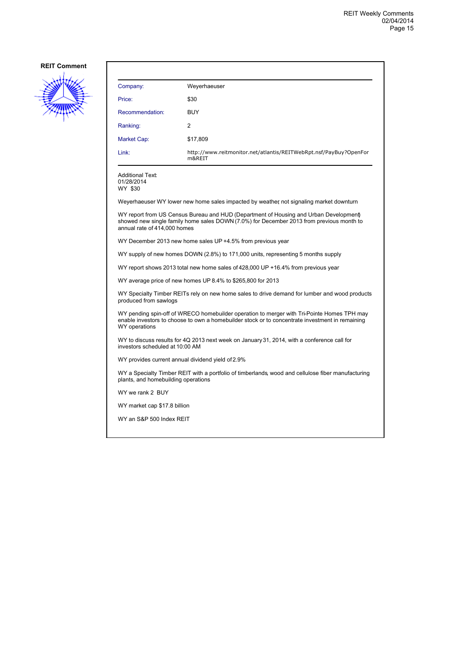

| Company:           | Weyerhaeuser                                                                |
|--------------------|-----------------------------------------------------------------------------|
| Price:             | \$30                                                                        |
| Recommendation:    | <b>BUY</b>                                                                  |
| Ranking:           | 2                                                                           |
| <b>Market Cap:</b> | \$17,809                                                                    |
| Link:              | http://www.reitmonitor.net/atlantis/REITWebRpt.nsf/PayBuy?OpenFor<br>m&REIT |

Additional Text: 01/28/2014

WY \$30

Weyerhaeuser WY lower new home sales impacted by weather, not signaling market downturn

WY report from US Census Bureau and HUD (Department of Housing and Urban Development) showed new single family home sales DOWN (7.0%) for December 2013 from previous month to annual rate of 414,000 homes

WY December 2013 new home sales UP +4.5% from previous year

WY supply of new homes DOWN (2.8%) to 171,000 units, representing 5 months supply

WY report shows 2013 total new home sales of 428,000 UP +16.4% from previous year

WY average price of new homes UP 8.4% to \$265,800 for 2013

WY Specialty Timber REITs rely on new home sales to drive demand for lumber and wood products produced from sawlogs

WY pending spin-off of WRECO homebuilder operation to merger with Tri-Pointe Homes TPH may enable investors to choose to own a homebuilder stock or to concentrate investment in remaining WY operations

WY to discuss results for 4Q 2013 next week on January 31, 2014, with a conference call for investors scheduled at 10:00 AM

WY provides current annual dividend yield of 2.9%

WY a Specialty Timber REIT with a portfolio of timberlands, wood and cellulose fiber manufacturing plants, and homebuilding operations

WY we rank 2 BUY

WY market cap \$17.8 billion

WY an S&P 500 Index REIT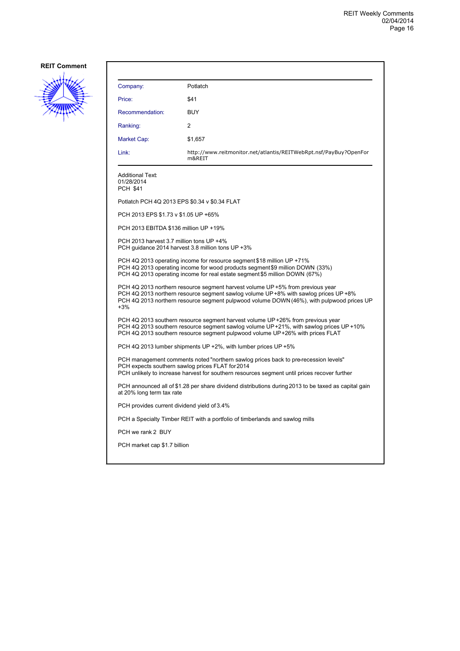

| Company:                                                                                                                                                                                                                                                    | Potlatch                                                                                                                                                                                                                                                           |  |
|-------------------------------------------------------------------------------------------------------------------------------------------------------------------------------------------------------------------------------------------------------------|--------------------------------------------------------------------------------------------------------------------------------------------------------------------------------------------------------------------------------------------------------------------|--|
| Price:                                                                                                                                                                                                                                                      | \$41                                                                                                                                                                                                                                                               |  |
| Recommendation:                                                                                                                                                                                                                                             | <b>BUY</b>                                                                                                                                                                                                                                                         |  |
| Ranking:                                                                                                                                                                                                                                                    | 2                                                                                                                                                                                                                                                                  |  |
| Market Cap:                                                                                                                                                                                                                                                 | \$1,657                                                                                                                                                                                                                                                            |  |
| Link:                                                                                                                                                                                                                                                       | http://www.reitmonitor.net/atlantis/REITWebRpt.nsf/PayBuy?OpenFor<br>m&REIT                                                                                                                                                                                        |  |
| <b>Additional Text:</b><br>01/28/2014<br><b>PCH \$41</b>                                                                                                                                                                                                    |                                                                                                                                                                                                                                                                    |  |
|                                                                                                                                                                                                                                                             | Potlatch PCH 4Q 2013 EPS \$0.34 v \$0.34 FLAT                                                                                                                                                                                                                      |  |
| PCH 2013 EPS \$1.73 v \$1.05 UP +65%                                                                                                                                                                                                                        |                                                                                                                                                                                                                                                                    |  |
| PCH 2013 EBITDA \$136 million UP +19%                                                                                                                                                                                                                       |                                                                                                                                                                                                                                                                    |  |
| PCH 2013 harvest 3.7 million tons UP +4%                                                                                                                                                                                                                    | PCH quidance 2014 harvest 3.8 million tons UP +3%                                                                                                                                                                                                                  |  |
|                                                                                                                                                                                                                                                             | PCH 4Q 2013 operating income for resource segment \$18 million UP +71%<br>PCH 4Q 2013 operating income for wood products segment \$9 million DOWN (33%)<br>PCH 4Q 2013 operating income for real estate segment \$5 million DOWN (67%)                             |  |
| $+3%$                                                                                                                                                                                                                                                       | PCH 4Q 2013 northern resource segment harvest volume UP +5% from previous year<br>PCH 4Q 2013 northern resource segment sawlog volume UP+8% with sawlog prices UP +8%<br>PCH 4Q 2013 northern resource segment pulpwood volume DOWN (46%), with pulpwood prices UP |  |
| PCH 4Q 2013 southern resource segment harvest volume UP +26% from previous year<br>PCH 4Q 2013 southern resource segment sawlog volume UP +21%, with sawlog prices UP +10%<br>PCH 4Q 2013 southern resource segment pulpwood volume UP+26% with prices FLAT |                                                                                                                                                                                                                                                                    |  |
| PCH 4Q 2013 lumber shipments UP +2%, with lumber prices UP +5%                                                                                                                                                                                              |                                                                                                                                                                                                                                                                    |  |
| PCH management comments noted "northern sawlog prices back to pre-recession levels"<br>PCH expects southern sawlog prices FLAT for 2014<br>PCH unlikely to increase harvest for southern resources segment until prices recover further                     |                                                                                                                                                                                                                                                                    |  |
| PCH announced all of \$1.28 per share dividend distributions during 2013 to be taxed as capital gain<br>at 20% long term tax rate                                                                                                                           |                                                                                                                                                                                                                                                                    |  |
| PCH provides current dividend yield of 3.4%                                                                                                                                                                                                                 |                                                                                                                                                                                                                                                                    |  |
|                                                                                                                                                                                                                                                             | PCH a Specialty Timber REIT with a portfolio of timberlands and sawlog mills                                                                                                                                                                                       |  |
| PCH we rank 2 BUY                                                                                                                                                                                                                                           |                                                                                                                                                                                                                                                                    |  |
| PCH market cap \$1.7 billion                                                                                                                                                                                                                                |                                                                                                                                                                                                                                                                    |  |
|                                                                                                                                                                                                                                                             |                                                                                                                                                                                                                                                                    |  |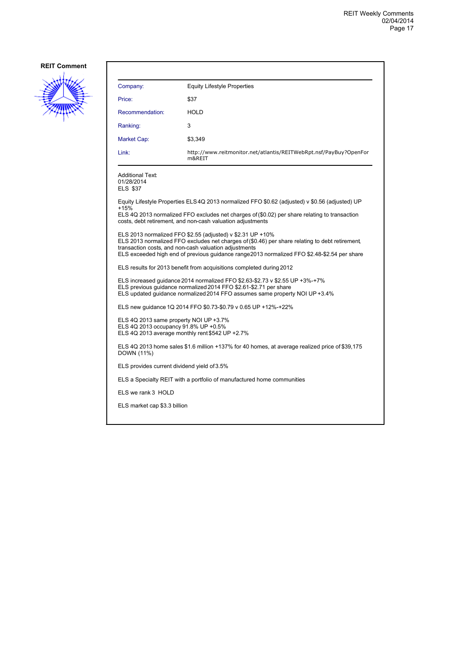

| Company:                                                                                                                                                                                                                         | <b>Equity Lifestyle Properties</b>                                                                                                                                                                                                                                                                                    |  |
|----------------------------------------------------------------------------------------------------------------------------------------------------------------------------------------------------------------------------------|-----------------------------------------------------------------------------------------------------------------------------------------------------------------------------------------------------------------------------------------------------------------------------------------------------------------------|--|
| Price:                                                                                                                                                                                                                           | \$37                                                                                                                                                                                                                                                                                                                  |  |
| Recommendation:                                                                                                                                                                                                                  | <b>HOLD</b>                                                                                                                                                                                                                                                                                                           |  |
| Ranking:                                                                                                                                                                                                                         | 3                                                                                                                                                                                                                                                                                                                     |  |
| Market Cap:                                                                                                                                                                                                                      | \$3,349                                                                                                                                                                                                                                                                                                               |  |
| Link:                                                                                                                                                                                                                            | http://www.reitmonitor.net/atlantis/REITWebRpt.nsf/PayBuy?OpenFor<br>m&REIT                                                                                                                                                                                                                                           |  |
| <b>Additional Text:</b><br>01/28/2014<br>ELS \$37                                                                                                                                                                                |                                                                                                                                                                                                                                                                                                                       |  |
| $+15%$                                                                                                                                                                                                                           | Equity Lifestyle Properties ELS4Q 2013 normalized FFO \$0.62 (adjusted) v \$0.56 (adjusted) UP<br>ELS 4Q 2013 normalized FFO excludes net charges of (\$0.02) per share relating to transaction<br>costs, debt retirement, and non-cash valuation adjustments                                                         |  |
|                                                                                                                                                                                                                                  | ELS 2013 normalized FFO \$2.55 (adjusted) v \$2.31 UP +10%<br>ELS 2013 normalized FFO excludes net charges of (\$0.46) per share relating to debt retirement,<br>transaction costs, and non-cash valuation adjustments<br>ELS exceeded high end of previous guidance range2013 normalized FFO \$2.48-\$2.54 per share |  |
| ELS results for 2013 benefit from acquisitions completed during 2012                                                                                                                                                             |                                                                                                                                                                                                                                                                                                                       |  |
| ELS increased guidance 2014 normalized FFO \$2.63-\$2.73 v \$2.55 UP +3%-+7%<br>ELS previous quidance normalized 2014 FFO \$2.61-\$2.71 per share<br>ELS updated guidance normalized 2014 FFO assumes same property NOI UP +3.4% |                                                                                                                                                                                                                                                                                                                       |  |
| ELS new guidance 1Q 2014 FFO \$0.73-\$0.79 v 0.65 UP +12%-+22%                                                                                                                                                                   |                                                                                                                                                                                                                                                                                                                       |  |
| ELS 4Q 2013 same property NOI UP +3.7%<br>ELS 4Q 2013 occupancy 91.8% UP +0.5%<br>ELS 4Q 2013 average monthly rent \$542 UP +2.7%                                                                                                |                                                                                                                                                                                                                                                                                                                       |  |
| ELS 4Q 2013 home sales \$1.6 million +137% for 40 homes, at average realized price of \$39,175<br>DOWN (11%)                                                                                                                     |                                                                                                                                                                                                                                                                                                                       |  |
| ELS provides current dividend yield of 3.5%                                                                                                                                                                                      |                                                                                                                                                                                                                                                                                                                       |  |
|                                                                                                                                                                                                                                  | ELS a Specialty REIT with a portfolio of manufactured home communities                                                                                                                                                                                                                                                |  |
| ELS we rank 3 HOLD                                                                                                                                                                                                               |                                                                                                                                                                                                                                                                                                                       |  |
| ELS market cap \$3.3 billion                                                                                                                                                                                                     |                                                                                                                                                                                                                                                                                                                       |  |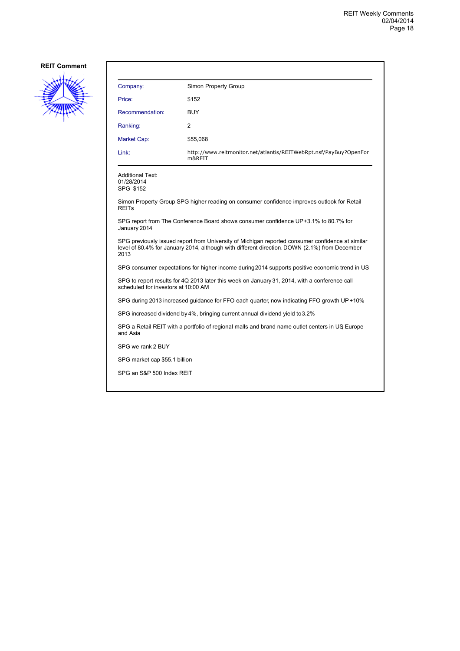

| Company:                                                                                                                                                                                                  | Simon Property Group                                                                       |  |
|-----------------------------------------------------------------------------------------------------------------------------------------------------------------------------------------------------------|--------------------------------------------------------------------------------------------|--|
| Price:                                                                                                                                                                                                    | \$152                                                                                      |  |
| Recommendation:                                                                                                                                                                                           | <b>BUY</b>                                                                                 |  |
| Ranking:                                                                                                                                                                                                  | 2                                                                                          |  |
| Market Cap:                                                                                                                                                                                               | \$55,068                                                                                   |  |
| Link:                                                                                                                                                                                                     | http://www.reitmonitor.net/atlantis/REITWebRpt.nsf/PayBuy?OpenFor<br>m&REIT                |  |
| <b>Additional Text:</b><br>01/28/2014<br>SPG \$152                                                                                                                                                        |                                                                                            |  |
| <b>REITs</b>                                                                                                                                                                                              | Simon Property Group SPG higher reading on consumer confidence improves outlook for Retail |  |
| SPG report from The Conference Board shows consumer confidence UP+3.1% to 80.7% for<br>January 2014                                                                                                       |                                                                                            |  |
| SPG previously issued report from University of Michigan reported consumer confidence at similar<br>level of 80.4% for January 2014, although with different direction, DOWN (2.1%) from December<br>2013 |                                                                                            |  |
| SPG consumer expectations for higher income during 2014 supports positive economic trend in US                                                                                                            |                                                                                            |  |
| SPG to report results for 4Q 2013 later this week on January 31, 2014, with a conference call<br>scheduled for investors at 10:00 AM                                                                      |                                                                                            |  |
| SPG during 2013 increased guidance for FFO each quarter, now indicating FFO growth UP+10%                                                                                                                 |                                                                                            |  |
| SPG increased dividend by 4%, bringing current annual dividend yield to 3.2%                                                                                                                              |                                                                                            |  |
| SPG a Retail REIT with a portfolio of regional malls and brand name outlet centers in US Europe<br>and Asia                                                                                               |                                                                                            |  |
| SPG we rank 2 BUY                                                                                                                                                                                         |                                                                                            |  |
| SPG market cap \$55.1 billion                                                                                                                                                                             |                                                                                            |  |
| SPG an S&P 500 Index REIT                                                                                                                                                                                 |                                                                                            |  |
|                                                                                                                                                                                                           |                                                                                            |  |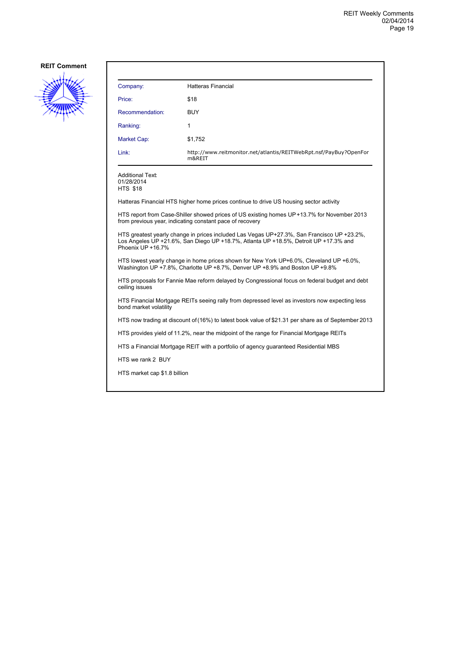

| Company:                                                                                            | <b>Hatteras Financial</b>                                                                                                                                                          |
|-----------------------------------------------------------------------------------------------------|------------------------------------------------------------------------------------------------------------------------------------------------------------------------------------|
| Price:                                                                                              | \$18                                                                                                                                                                               |
| Recommendation:                                                                                     | <b>BUY</b>                                                                                                                                                                         |
| Ranking:                                                                                            | $\mathbf{1}$                                                                                                                                                                       |
| <b>Market Cap:</b>                                                                                  | \$1,752                                                                                                                                                                            |
| Link:                                                                                               | http://www.reitmonitor.net/atlantis/REITWebRpt.nsf/PayBuy?OpenFor<br>m&REIT                                                                                                        |
| <b>Additional Text:</b><br>01/28/2014<br><b>HTS \$18</b>                                            |                                                                                                                                                                                    |
|                                                                                                     | Hatteras Financial HTS higher home prices continue to drive US housing sector activity                                                                                             |
|                                                                                                     | HTS report from Case-Shiller showed prices of US existing homes UP+13.7% for November 2013<br>from previous year, indicating constant pace of recovery                             |
| Phoenix UP +16.7%                                                                                   | HTS greatest yearly change in prices included Las Vegas UP+27.3%, San Francisco UP +23.2%,<br>Los Angeles UP +21.6%, San Diego UP +18.7%, Atlanta UP +18.5%, Detroit UP +17.3% and |
|                                                                                                     | HTS lowest yearly change in home prices shown for New York UP+6.0%, Cleveland UP +6.0%,<br>Washington UP +7.8%, Charlotte UP +8.7%, Denver UP +8.9% and Boston UP +9.8%            |
| ceiling issues                                                                                      | HTS proposals for Fannie Mae reform delayed by Congressional focus on federal budget and debt                                                                                      |
| bond market volatility                                                                              | HTS Financial Mortgage REITs seeing rally from depressed level as investors now expecting less                                                                                     |
| HTS now trading at discount of (16%) to latest book value of \$21.31 per share as of September 2013 |                                                                                                                                                                                    |
|                                                                                                     | HTS provides yield of 11.2%, near the midpoint of the range for Financial Mortgage REITs                                                                                           |
|                                                                                                     | HTS a Financial Mortgage REIT with a portfolio of agency guaranteed Residential MBS                                                                                                |

HTS we rank 2 BUY

HTS market cap \$1.8 billion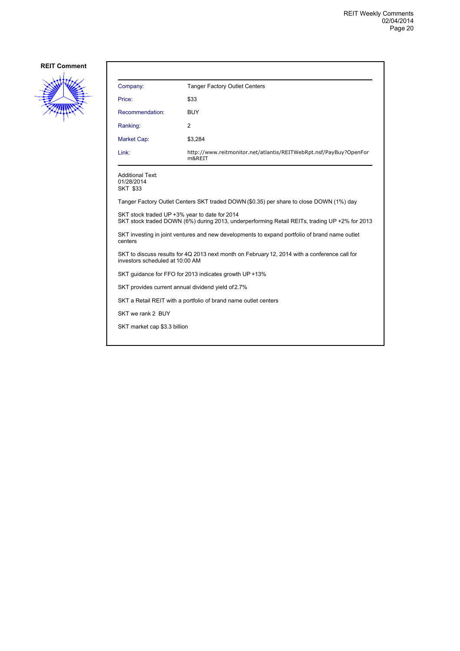

| Company:                                                                                                                         | <b>Tanger Factory Outlet Centers</b>                                                          |  |
|----------------------------------------------------------------------------------------------------------------------------------|-----------------------------------------------------------------------------------------------|--|
| Price:                                                                                                                           | \$33                                                                                          |  |
| Recommendation:                                                                                                                  | <b>BUY</b>                                                                                    |  |
| Ranking:                                                                                                                         | 2                                                                                             |  |
| Market Cap:                                                                                                                      | \$3,284                                                                                       |  |
| Link:                                                                                                                            | http://www.reitmonitor.net/atlantis/REITWebRpt.nsf/PayBuy?OpenFor<br>m&REIT                   |  |
| <b>Additional Text:</b><br>01/28/2014<br><b>SKT \$33</b>                                                                         |                                                                                               |  |
|                                                                                                                                  | Tanger Factory Outlet Centers SKT traded DOWN (\$0.35) per share to close DOWN (1%) day       |  |
| SKT stock traded UP +3% year to date for 2014                                                                                    | SKT stock traded DOWN (6%) during 2013, underperforming Retail REITs, trading UP +2% for 2013 |  |
| SKT investing in joint ventures and new developments to expand portfolio of brand name outlet<br>centers                         |                                                                                               |  |
| SKT to discuss results for 4Q 2013 next month on February 12, 2014 with a conference call for<br>investors scheduled at 10:00 AM |                                                                                               |  |
|                                                                                                                                  | SKT guidance for FFO for 2013 indicates growth UP +13%                                        |  |
| SKT provides current annual dividend yield of 2.7%                                                                               |                                                                                               |  |
| SKT a Retail REIT with a portfolio of brand name outlet centers                                                                  |                                                                                               |  |
| SKT we rank 2 BUY                                                                                                                |                                                                                               |  |
| SKT market cap \$3.3 billion                                                                                                     |                                                                                               |  |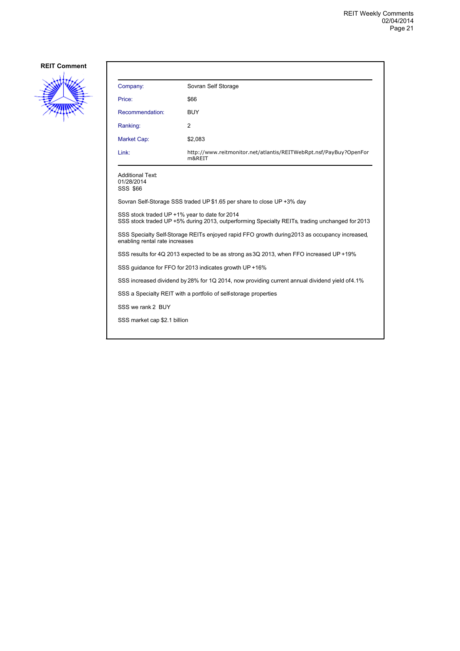

| Company:                                                                                                                                        | Sovran Self Storage                                                         |  |
|-------------------------------------------------------------------------------------------------------------------------------------------------|-----------------------------------------------------------------------------|--|
| Price:                                                                                                                                          | \$66                                                                        |  |
| Recommendation:                                                                                                                                 | BUY                                                                         |  |
| Ranking:                                                                                                                                        | 2                                                                           |  |
| <b>Market Cap:</b>                                                                                                                              | \$2,083                                                                     |  |
| Link:                                                                                                                                           | http://www.reitmonitor.net/atlantis/REITWebRpt.nsf/PayBuy?OpenFor<br>m&REIT |  |
| Additional Text:<br>01/28/2014<br>SSS \$66                                                                                                      |                                                                             |  |
|                                                                                                                                                 | Sovran Self-Storage SSS traded UP \$1.65 per share to close UP +3% day      |  |
| SSS stock traded UP +1% year to date for 2014<br>SSS stock traded UP +5% during 2013, outperforming Specialty REITs, trading unchanged for 2013 |                                                                             |  |
| SSS Specialty Self-Storage REITs enjoyed rapid FFO growth during 2013 as occupancy increased.<br>enabling rental rate increases                 |                                                                             |  |
| SSS results for 4Q 2013 expected to be as strong as 3Q 2013, when FFO increased UP +19%                                                         |                                                                             |  |
| SSS quidance for FFO for 2013 indicates growth UP +16%                                                                                          |                                                                             |  |
| SSS increased dividend by 28% for 1Q 2014, now providing current annual dividend yield of 4.1%                                                  |                                                                             |  |
| SSS a Specialty REIT with a portfolio of self-storage properties                                                                                |                                                                             |  |
| SSS we rank 2 BUY                                                                                                                               |                                                                             |  |
| SSS market cap \$2.1 billion                                                                                                                    |                                                                             |  |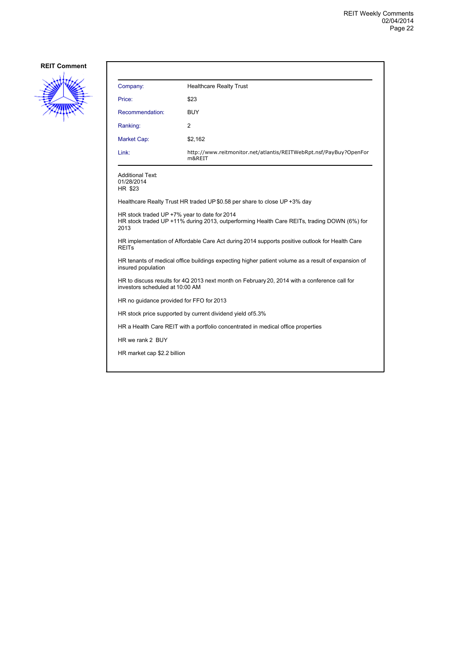

| Company:                                                                                                                        | <b>Healthcare Realty Trust</b>                                                              |  |
|---------------------------------------------------------------------------------------------------------------------------------|---------------------------------------------------------------------------------------------|--|
| Price:                                                                                                                          | \$23                                                                                        |  |
| Recommendation:                                                                                                                 | <b>BUY</b>                                                                                  |  |
| Ranking:                                                                                                                        | 2                                                                                           |  |
| Market Cap:                                                                                                                     | \$2,162                                                                                     |  |
| Link:                                                                                                                           | http://www.reitmonitor.net/atlantis/REITWebRpt.nsf/PayBuy?OpenFor<br>m&REIT                 |  |
| Additional Text:<br>01/28/2014<br>HR \$23                                                                                       |                                                                                             |  |
|                                                                                                                                 | Healthcare Realty Trust HR traded UP \$0.58 per share to close UP +3% day                   |  |
| HR stock traded UP +7% year to date for 2014<br>2013                                                                            | HR stock traded UP +11% during 2013, outperforming Health Care REITs, trading DOWN (6%) for |  |
| HR implementation of Affordable Care Act during 2014 supports positive outlook for Health Care<br><b>REITs</b>                  |                                                                                             |  |
| HR tenants of medical office buildings expecting higher patient volume as a result of expansion of<br>insured population        |                                                                                             |  |
| HR to discuss results for 4Q 2013 next month on February 20, 2014 with a conference call for<br>investors scheduled at 10:00 AM |                                                                                             |  |
| HR no guidance provided for FFO for 2013                                                                                        |                                                                                             |  |
| HR stock price supported by current dividend yield of 5.3%                                                                      |                                                                                             |  |
| HR a Health Care REIT with a portfolio concentrated in medical office properties                                                |                                                                                             |  |
| HR we rank 2 BUY                                                                                                                |                                                                                             |  |
| HR market cap \$2.2 billion                                                                                                     |                                                                                             |  |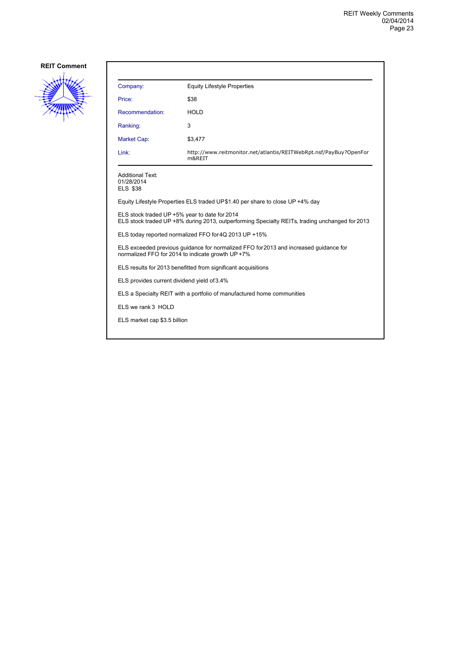

| Company:                                                                                                                                        | <b>Equity Lifestyle Properties</b>                                          |  |
|-------------------------------------------------------------------------------------------------------------------------------------------------|-----------------------------------------------------------------------------|--|
| Price:                                                                                                                                          | \$38                                                                        |  |
| Recommendation:                                                                                                                                 | <b>HOLD</b>                                                                 |  |
| Ranking:                                                                                                                                        | 3                                                                           |  |
| Market Cap:                                                                                                                                     | \$3,477                                                                     |  |
| Link:                                                                                                                                           | http://www.reitmonitor.net/atlantis/REITWebRpt.nsf/PayBuy?OpenFor<br>m&REIT |  |
| <b>Additional Text:</b><br>01/28/2014<br><b>ELS \$38</b>                                                                                        |                                                                             |  |
| Equity Lifestyle Properties ELS traded UP\$1.40 per share to close UP +4% day                                                                   |                                                                             |  |
| ELS stock traded UP +5% year to date for 2014<br>ELS stock traded UP +8% during 2013, outperforming Specialty REITs, trading unchanged for 2013 |                                                                             |  |
| ELS today reported normalized FFO for 4Q 2013 UP +15%                                                                                           |                                                                             |  |
| ELS exceeded previous quidance for normalized FFO for 2013 and increased quidance for<br>normalized FFO for 2014 to indicate growth UP +7%      |                                                                             |  |
| ELS results for 2013 benefitted from significant acquisitions                                                                                   |                                                                             |  |
| ELS provides current dividend yield of 3.4%                                                                                                     |                                                                             |  |
| ELS a Specialty REIT with a portfolio of manufactured home communities                                                                          |                                                                             |  |
| ELS we rank 3 HOLD                                                                                                                              |                                                                             |  |
| ELS market cap \$3.5 billion                                                                                                                    |                                                                             |  |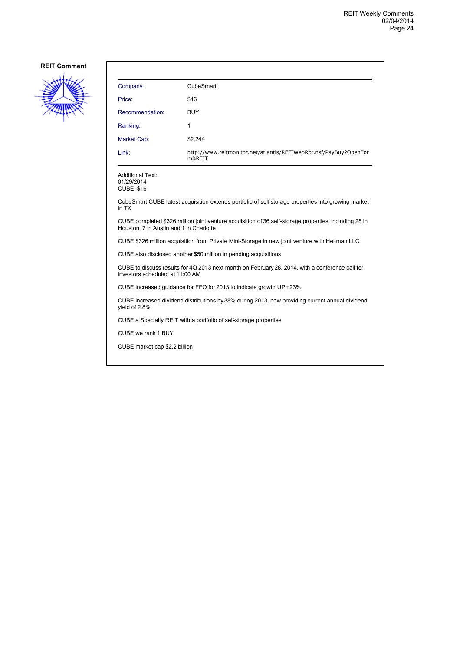

| Company:        | CubeSmart                                                                   |
|-----------------|-----------------------------------------------------------------------------|
| Price:          | \$16                                                                        |
| Recommendation: | <b>BUY</b>                                                                  |
| Ranking:        | 1                                                                           |
| Market Cap:     | \$2,244                                                                     |
| Link:           | http://www.reitmonitor.net/atlantis/REITWebRpt.nsf/PayBuy?OpenFor<br>m&REIT |

Additional Text: 01/29/2014

CUBE \$16

CubeSmart CUBE latest acquisition extends portfolio of self-storage properties into growing market in TX

CUBE completed \$326 million joint venture acquisition of 36 self-storage properties, including 28 in Houston, 7 in Austin and 1 in Charlotte

CUBE \$326 million acquisition from Private Mini-Storage in new joint venture with Heitman LLC

CUBE also disclosed another \$50 million in pending acquisitions

CUBE to discuss results for 4Q 2013 next month on February 28, 2014, with a conference call for investors scheduled at 11:00 AM

CUBE increased guidance for FFO for 2013 to indicate growth UP +23%

CUBE increased dividend distributions by 38% during 2013, now providing current annual dividend yield of 2.8%

CUBE a Specialty REIT with a portfolio of self-storage properties

CUBE we rank 1 BUY

CUBE market cap \$2.2 billion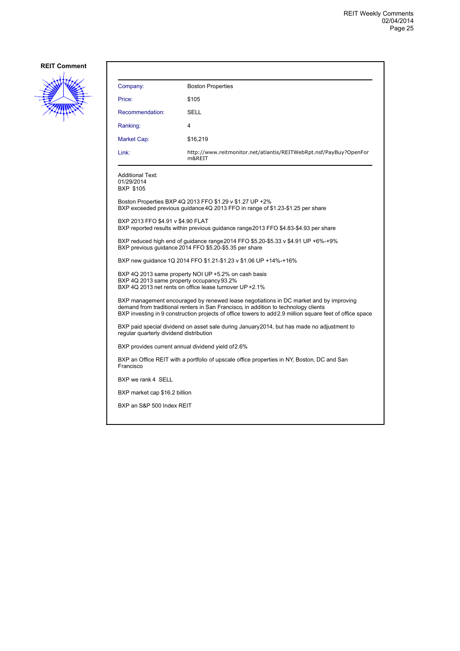

| Company:                                                                                                                                                                                                                                                                                 | <b>Boston Properties</b>                                                                                                                   |  |
|------------------------------------------------------------------------------------------------------------------------------------------------------------------------------------------------------------------------------------------------------------------------------------------|--------------------------------------------------------------------------------------------------------------------------------------------|--|
| Price:                                                                                                                                                                                                                                                                                   | \$105                                                                                                                                      |  |
| Recommendation:                                                                                                                                                                                                                                                                          | SELL                                                                                                                                       |  |
| Ranking:                                                                                                                                                                                                                                                                                 | 4                                                                                                                                          |  |
| Market Cap:                                                                                                                                                                                                                                                                              | \$16,219                                                                                                                                   |  |
| Link:                                                                                                                                                                                                                                                                                    | http://www.reitmonitor.net/atlantis/REITWebRpt.nsf/PayBuy?OpenFor<br>m&REIT                                                                |  |
| <b>Additional Text:</b><br>01/29/2014<br><b>BXP \$105</b>                                                                                                                                                                                                                                |                                                                                                                                            |  |
|                                                                                                                                                                                                                                                                                          | Boston Properties BXP 4Q 2013 FFO \$1.29 v \$1.27 UP +2%<br>BXP exceeded previous guidance 4Q 2013 FFO in range of \$1.23-\$1.25 per share |  |
| BXP 2013 FFO \$4.91 v \$4.90 FLAT                                                                                                                                                                                                                                                        | BXP reported results within previous guidance range2013 FFO \$4.83-\$4.93 per share                                                        |  |
| BXP reduced high end of guidance range 2014 FFO \$5.20-\$5.33 v \$4.91 UP +6%-+9%<br>BXP previous guidance 2014 FFO \$5.20-\$5.35 per share                                                                                                                                              |                                                                                                                                            |  |
| BXP new guidance 1Q 2014 FFO \$1.21-\$1.23 v \$1.06 UP +14%-+16%                                                                                                                                                                                                                         |                                                                                                                                            |  |
| BXP 4Q 2013 same property NOI UP +5.2% on cash basis<br>BXP 4Q 2013 same property occupancy 93.2%<br>BXP 4Q 2013 net rents on office lease turnover UP +2.1%                                                                                                                             |                                                                                                                                            |  |
| BXP management encouraged by renewed lease negotiations in DC market and by improving<br>demand from traditional renters in San Francisco, in addition to technology clients<br>BXP investing in 9 construction projects of office towers to add 2.9 million square feet of office space |                                                                                                                                            |  |
| BXP paid special dividend on asset sale during January2014, but has made no adjustment to<br>regular quarterly dividend distribution                                                                                                                                                     |                                                                                                                                            |  |
| BXP provides current annual dividend yield of 2.6%                                                                                                                                                                                                                                       |                                                                                                                                            |  |
| BXP an Office REIT with a portfolio of upscale office properties in NY, Boston, DC and San<br>Francisco                                                                                                                                                                                  |                                                                                                                                            |  |
| BXP we rank 4 SELL                                                                                                                                                                                                                                                                       |                                                                                                                                            |  |
| BXP market cap \$16.2 billion                                                                                                                                                                                                                                                            |                                                                                                                                            |  |
| BXP an S&P 500 Index REIT                                                                                                                                                                                                                                                                |                                                                                                                                            |  |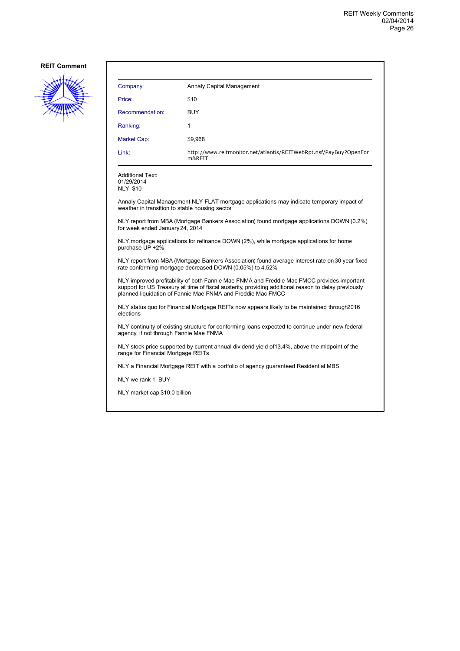

| Company:        | Annaly Capital Management                                                   |
|-----------------|-----------------------------------------------------------------------------|
| Price:          | \$10                                                                        |
| Recommendation: | <b>BUY</b>                                                                  |
| Ranking:        | 1                                                                           |
| Market Cap:     | \$9,968                                                                     |
| Link:           | http://www.reitmonitor.net/atlantis/REITWebRpt.nsf/PayBuy?OpenFor<br>m&REIT |

Additional Text: 01/29/2014 NLY \$10

Annaly Capital Management NLY FLAT mortgage applications may indicate temporary impact of weather in transition to stable housing sector

NLY report from MBA (Mortgage Bankers Association) found mortgage applications DOWN (0.2%) for week ended January 24, 2014

NLY mortgage applications for refinance DOWN (2%), while mortgage applications for home purchase UP +2%

NLY report from MBA (Mortgage Bankers Association) found average interest rate on 30 year fixed rate conforming mortgage decreased DOWN (0.05%) to 4.52%

NLY improved profitability of both Fannie Mae FNMA and Freddie Mac FMCC provides important support for US Treasury at time of fiscal austerity, providing additional reason to delay previously planned liquidation of Fannie Mae FNMA and Freddie Mac FMCC

NLY status quo for Financial Mortgage REITs now appears likely to be maintained through 2016 elections

NLY continuity of existing structure for conforming loans expected to continue under new federal agency, if not through Fannie Mae FNMA

NLY stock price supported by current annual dividend yield of 13.4%, above the midpoint of the range for Financial Mortgage REITs

NLY a Financial Mortgage REIT with a portfolio of agency guaranteed Residential MBS

NLY we rank 1 BUY

NLY market cap \$10.0 billion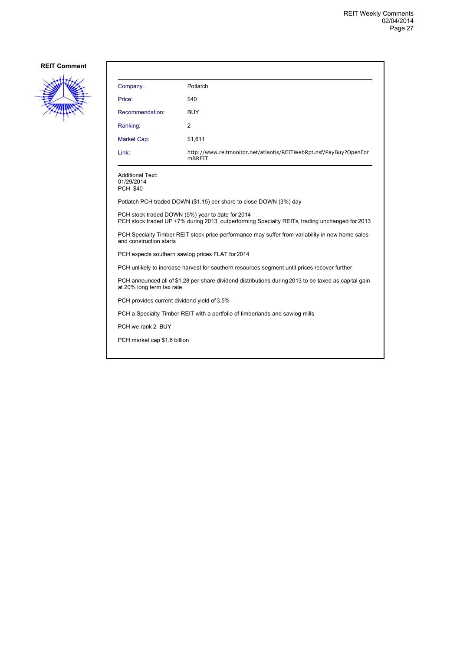

| Company:                                                                                                                                           | Potlatch                                                                     |  |
|----------------------------------------------------------------------------------------------------------------------------------------------------|------------------------------------------------------------------------------|--|
| Price:                                                                                                                                             | \$40                                                                         |  |
| Recommendation:                                                                                                                                    | <b>BUY</b>                                                                   |  |
| Ranking:                                                                                                                                           | 2                                                                            |  |
| <b>Market Cap:</b>                                                                                                                                 | \$1,611                                                                      |  |
| Link:                                                                                                                                              | http://www.reitmonitor.net/atlantis/REITWebRpt.nsf/PayBuy?OpenFor<br>m&REIT  |  |
| <b>Additional Text:</b><br>01/29/2014<br><b>PCH \$40</b>                                                                                           |                                                                              |  |
|                                                                                                                                                    | Potlatch PCH traded DOWN (\$1.15) per share to close DOWN (3%) day           |  |
| PCH stock traded DOWN (5%) year to date for 2014<br>PCH stock traded UP +7% during 2013, outperforming Specialty REITs, trading unchanged for 2013 |                                                                              |  |
| PCH Specialty Timber REIT stock price performance may suffer from variability in new home sales<br>and construction starts                         |                                                                              |  |
| PCH expects southern sawlog prices FLAT for 2014                                                                                                   |                                                                              |  |
| PCH unlikely to increase harvest for southern resources segment until prices recover further                                                       |                                                                              |  |
| PCH announced all of \$1.28 per share dividend distributions during 2013 to be taxed as capital gain<br>at 20% long term tax rate                  |                                                                              |  |
| PCH provides current dividend yield of 3.5%                                                                                                        |                                                                              |  |
|                                                                                                                                                    | PCH a Specialty Timber REIT with a portfolio of timberlands and sawlog mills |  |
| PCH we rank 2 BUY                                                                                                                                  |                                                                              |  |
| PCH market cap \$1.6 billion                                                                                                                       |                                                                              |  |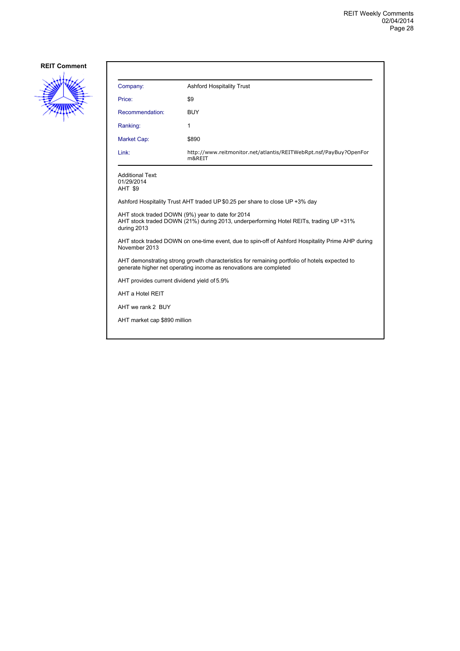

| Company:                                         | <b>Ashford Hospitality Trust</b>                                                                                                                                   |
|--------------------------------------------------|--------------------------------------------------------------------------------------------------------------------------------------------------------------------|
| Price:                                           | \$9                                                                                                                                                                |
| Recommendation:                                  | <b>BUY</b>                                                                                                                                                         |
| Ranking:                                         | 1                                                                                                                                                                  |
| <b>Market Cap:</b>                               | \$890                                                                                                                                                              |
| Link:                                            | http://www.reitmonitor.net/atlantis/REITWebRpt.nsf/PayBuy?OpenFor<br>m&REIT                                                                                        |
| <b>Additional Text:</b><br>01/29/2014<br>AHT \$9 |                                                                                                                                                                    |
|                                                  | Ashford Hospitality Trust AHT traded UP \$0.25 per share to close UP +3% day                                                                                       |
| during 2013                                      | AHT stock traded DOWN (9%) year to date for 2014<br>AHT stock traded DOWN (21%) during 2013, underperforming Hotel REITs, trading UP +31%                          |
| November 2013                                    | AHT stock traded DOWN on one-time event, due to spin-off of Ashford Hospitality Prime AHP during                                                                   |
|                                                  | AHT demonstrating strong growth characteristics for remaining portfolio of hotels expected to<br>generate higher net operating income as renovations are completed |
| AHT provides current dividend yield of 5.9%      |                                                                                                                                                                    |
| AHT a Hotel REIT                                 |                                                                                                                                                                    |
| AHT we rank 2 BUY                                |                                                                                                                                                                    |
| AHT market cap \$890 million                     |                                                                                                                                                                    |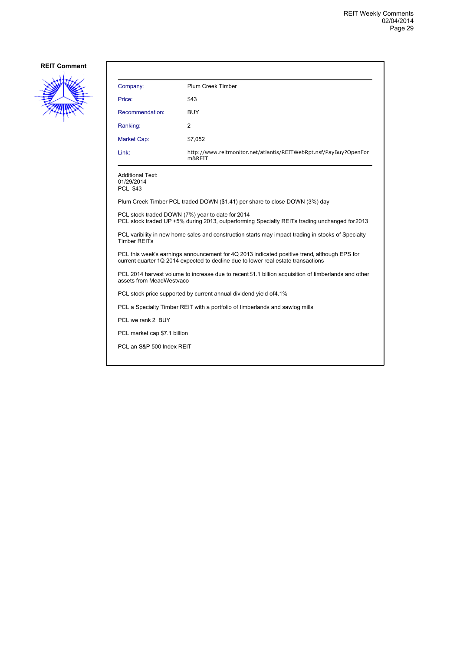

| Company:                                                                                                                                          | Plum Creek Timber                                                           |  |
|---------------------------------------------------------------------------------------------------------------------------------------------------|-----------------------------------------------------------------------------|--|
| Price:                                                                                                                                            | \$43                                                                        |  |
| Recommendation:                                                                                                                                   | <b>BUY</b>                                                                  |  |
| Ranking:                                                                                                                                          | $\overline{2}$                                                              |  |
| Market Cap:                                                                                                                                       | \$7,052                                                                     |  |
| Link:                                                                                                                                             | http://www.reitmonitor.net/atlantis/REITWebRpt.nsf/PayBuy?OpenFor<br>m&REIT |  |
| <b>Additional Text:</b><br>01/29/2014<br><b>PCL \$43</b>                                                                                          |                                                                             |  |
| Plum Creek Timber PCL traded DOWN (\$1.41) per share to close DOWN (3%) day                                                                       |                                                                             |  |
| PCL stock traded DOWN (7%) year to date for 2014<br>PCL stock traded UP +5% during 2013, outperforming Specialty REITs trading unchanged for 2013 |                                                                             |  |
| PCL varibility in new home sales and construction starts may impact trading in stocks of Specialty<br><b>Timber REITs</b>                         |                                                                             |  |

PCL this week's earnings announcement for 4Q 2013 indicated positive trend, although EPS for current quarter 1Q 2014 expected to decline due to lower real estate transactions

PCL 2014 harvest volume to increase due to recent \$1.1 billion acquisition of timberlands and other assets from MeadWestvaco

PCL stock price supported by current annual dividend yield of 4.1%

PCL a Specialty Timber REIT with a portfolio of timberlands and sawlog mills

PCL we rank 2 BUY

PCL market cap \$7.1 billion

PCL an S&P 500 Index REIT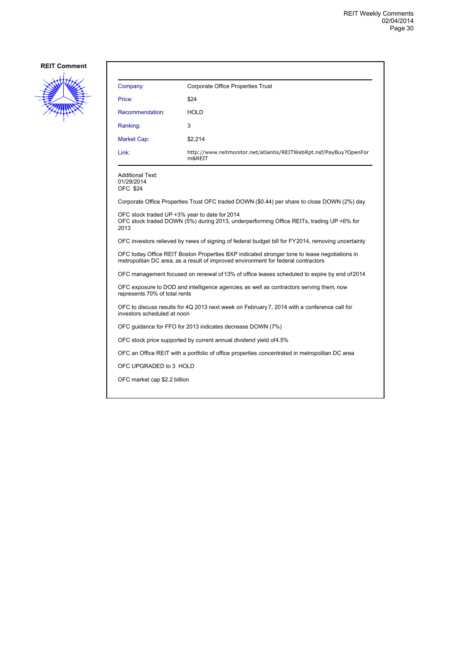

| Company:                                                 | Corporate Office Properties Trust                                                                                                                                                 |
|----------------------------------------------------------|-----------------------------------------------------------------------------------------------------------------------------------------------------------------------------------|
| Price:                                                   | \$24                                                                                                                                                                              |
| Recommendation:                                          | <b>HOLD</b>                                                                                                                                                                       |
| Ranking:                                                 | 3                                                                                                                                                                                 |
| <b>Market Cap:</b>                                       | \$2,214                                                                                                                                                                           |
| Link:                                                    | http://www.reitmonitor.net/atlantis/REITWebRpt.nsf/PayBuy?OpenFor<br>m&REIT                                                                                                       |
| <b>Additional Text:</b><br>01/29/2014<br><b>OFC \$24</b> |                                                                                                                                                                                   |
|                                                          | Corporate Office Properties Trust OFC traded DOWN (\$0.44) per share to close DOWN (2%) day                                                                                       |
| 2013                                                     | OFC stock traded UP +3% year to date for 2014<br>OFC stock traded DOWN (5%) during 2013, underperforming Office REITs, trading UP +6% for                                         |
|                                                          | OFC investors relieved by news of signing of federal budget bill for FY2014, removing uncertainty                                                                                 |
|                                                          | OFC today Office REIT Boston Properties BXP indicated stronger tone to lease negotiations in<br>metropolitan DC area, as a result of improved environment for federal contractors |
|                                                          | OFC management focused on renewal of 13% of office leases scheduled to expire by end of 2014                                                                                      |
| represents 70% of total rents                            | OFC exposure to DOD and intelligence agencies as well as contractors serving them, now                                                                                            |

OFC to discuss results for 4Q 2013 next week on February 7, 2014 with a conference call for investors scheduled at noon

OFC guidance for FFO for 2013 indicates decrease DOWN (7%)

OFC stock price supported by current annual dividend yield of 4.5%

OFC an Office REIT with a portfolio of office properties concentrated in metropolitan DC area

OFC UPGRADED to 3 HOLD

OFC market cap \$2.2 billion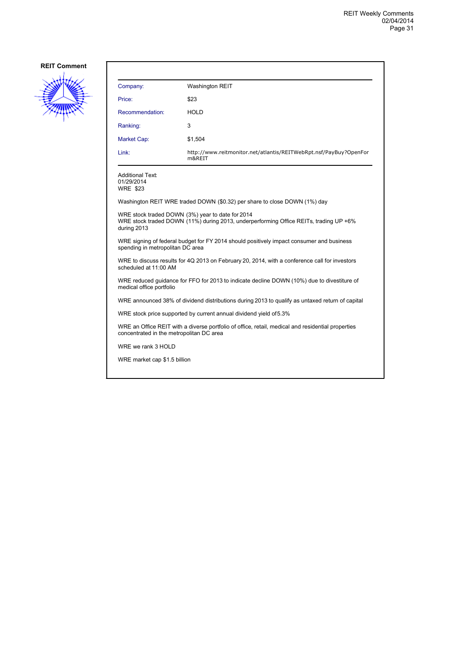

| Company:                                                                                                                                      | <b>Washington REIT</b>                                                                        |  |
|-----------------------------------------------------------------------------------------------------------------------------------------------|-----------------------------------------------------------------------------------------------|--|
| Price:                                                                                                                                        | \$23                                                                                          |  |
| Recommendation:                                                                                                                               | <b>HOLD</b>                                                                                   |  |
| Ranking:                                                                                                                                      | 3                                                                                             |  |
| Market Cap:                                                                                                                                   | \$1,504                                                                                       |  |
| Link:                                                                                                                                         | http://www.reitmonitor.net/atlantis/REITWebRpt.nsf/PayBuy?OpenFor<br>m&REIT                   |  |
| Additional Text:<br>01/29/2014<br><b>WRE \$23</b>                                                                                             |                                                                                               |  |
|                                                                                                                                               | Washington REIT WRE traded DOWN (\$0.32) per share to close DOWN (1%) day                     |  |
| WRE stock traded DOWN (3%) year to date for 2014<br>during 2013                                                                               | WRE stock traded DOWN (11%) during 2013, underperforming Office REITs, trading UP +6%         |  |
| spending in metropolitan DC area                                                                                                              | WRE signing of federal budget for FY 2014 should positively impact consumer and business      |  |
| scheduled at 11:00 AM                                                                                                                         | WRE to discuss results for 4Q 2013 on February 20, 2014, with a conference call for investors |  |
| WRE reduced guidance for FFO for 2013 to indicate decline DOWN (10%) due to divestiture of<br>medical office portfolio                        |                                                                                               |  |
| WRE announced 38% of dividend distributions during 2013 to qualify as untaxed return of capital                                               |                                                                                               |  |
|                                                                                                                                               | WRE stock price supported by current annual dividend yield of 5.3%                            |  |
| WRE an Office REIT with a diverse portfolio of office, retail, medical and residential properties<br>concentrated in the metropolitan DC area |                                                                                               |  |
| WRE we rank 3 HOLD                                                                                                                            |                                                                                               |  |
| WRE market cap \$1.5 billion                                                                                                                  |                                                                                               |  |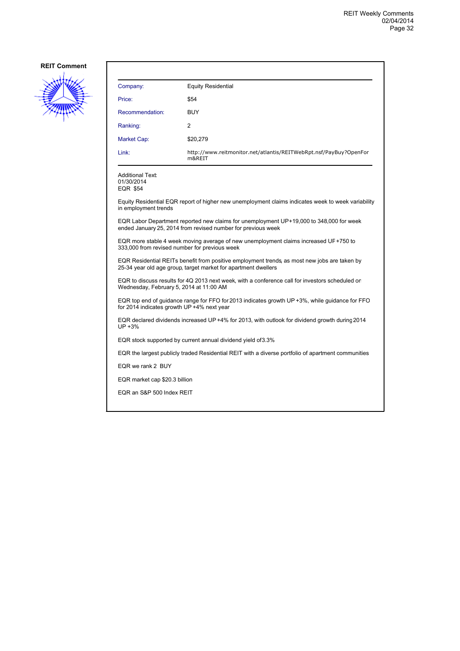

| Company:                                                                                                                                                       | <b>Equity Residential</b>                                                                          |  |
|----------------------------------------------------------------------------------------------------------------------------------------------------------------|----------------------------------------------------------------------------------------------------|--|
| Price:                                                                                                                                                         | \$54                                                                                               |  |
| Recommendation:                                                                                                                                                | <b>BUY</b>                                                                                         |  |
| Ranking:                                                                                                                                                       | $\overline{2}$                                                                                     |  |
| Market Cap:                                                                                                                                                    | \$20,279                                                                                           |  |
| Link:                                                                                                                                                          | http://www.reitmonitor.net/atlantis/REITWebRpt.nsf/PayBuy?OpenFor<br>m&REIT                        |  |
| <b>Additional Text:</b><br>01/30/2014<br><b>EQR \$54</b>                                                                                                       |                                                                                                    |  |
| in employment trends                                                                                                                                           | Equity Residential EQR report of higher new unemployment claims indicates week to week variability |  |
| EQR Labor Department reported new claims for unemployment UP+19,000 to 348,000 for week<br>ended January 25, 2014 from revised number for previous week        |                                                                                                    |  |
| EQR more stable 4 week moving average of new unemployment claims increased UF+750 to<br>333,000 from revised number for previous week                          |                                                                                                    |  |
| EQR Residential REITs benefit from positive employment trends, as most new jobs are taken by<br>25-34 year old age group, target market for apartment dwellers |                                                                                                    |  |
| EQR to discuss results for 4Q 2013 next week, with a conference call for investors scheduled on<br>Wednesday, February 5, 2014 at 11:00 AM                     |                                                                                                    |  |
| EQR top end of guidance range for FFO for 2013 indicates growth UP +3%, while guidance for FFO<br>for 2014 indicates growth UP +4% next year                   |                                                                                                    |  |
| EQR declared dividends increased UP+4% for 2013, with outlook for dividend growth during 2014<br>UP +3%                                                        |                                                                                                    |  |
|                                                                                                                                                                | EQR stock supported by current annual dividend yield of 3.3%                                       |  |
| EQR the largest publicly traded Residential REIT with a diverse portfolio of apartment communities                                                             |                                                                                                    |  |
| EQR we rank 2 BUY                                                                                                                                              |                                                                                                    |  |
|                                                                                                                                                                | EQR market cap \$20.3 billion                                                                      |  |
| EQR an S&P 500 Index REIT                                                                                                                                      |                                                                                                    |  |
|                                                                                                                                                                |                                                                                                    |  |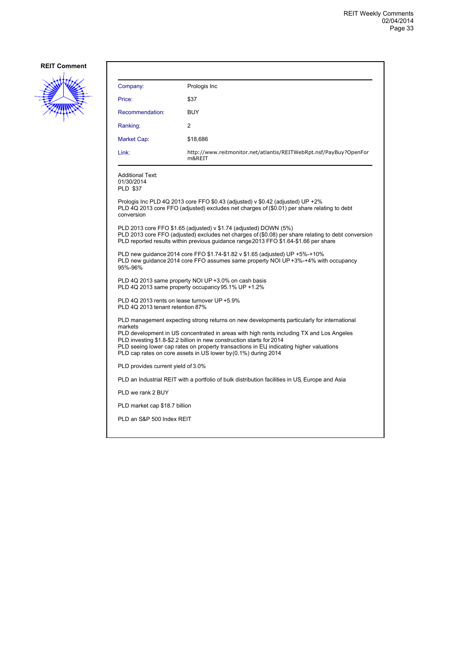

| Company:                                                                                                                                                                                                                                                                                                                                 | Prologis Inc                                                                                                                                                                                                                                                     |
|------------------------------------------------------------------------------------------------------------------------------------------------------------------------------------------------------------------------------------------------------------------------------------------------------------------------------------------|------------------------------------------------------------------------------------------------------------------------------------------------------------------------------------------------------------------------------------------------------------------|
| Price:                                                                                                                                                                                                                                                                                                                                   | \$37                                                                                                                                                                                                                                                             |
| Recommendation:                                                                                                                                                                                                                                                                                                                          | <b>BUY</b>                                                                                                                                                                                                                                                       |
| Ranking:                                                                                                                                                                                                                                                                                                                                 | 2                                                                                                                                                                                                                                                                |
| Market Cap:                                                                                                                                                                                                                                                                                                                              | \$18,686                                                                                                                                                                                                                                                         |
| Link:                                                                                                                                                                                                                                                                                                                                    | http://www.reitmonitor.net/atlantis/REITWebRpt.nsf/PayBuy?OpenFor<br>m&REIT                                                                                                                                                                                      |
| <b>Additional Text:</b><br>01/30/2014<br><b>PLD \$37</b>                                                                                                                                                                                                                                                                                 |                                                                                                                                                                                                                                                                  |
| conversion                                                                                                                                                                                                                                                                                                                               | Prologis Inc PLD 4Q 2013 core FFO \$0.43 (adjusted) v \$0.42 (adjusted) UP +2%<br>PLD 4Q 2013 core FFO (adjusted) excludes net charges of (\$0.01) per share relating to debt                                                                                    |
|                                                                                                                                                                                                                                                                                                                                          | PLD 2013 core FFO \$1.65 (adjusted) v \$1.74 (adjusted) DOWN (5%)<br>PLD 2013 core FFO (adjusted) excludes net charges of (\$0.08) per share relating to debt conversion<br>PLD reported results within previous guidance range 2013 FFO \$1.64-\$1.66 per share |
| 95%-96%                                                                                                                                                                                                                                                                                                                                  | PLD new guidance 2014 core FFO \$1.74-\$1.82 v \$1.65 (adjusted) UP +5%-+10%<br>PLD new guidance 2014 core FFO assumes same property NOI UP +3%-+4% with occupancy                                                                                               |
|                                                                                                                                                                                                                                                                                                                                          | PLD 4Q 2013 same property NOI UP +3.0% on cash basis<br>PLD 4Q 2013 same property occupancy 95.1% UP +1.2%                                                                                                                                                       |
| PLD 4Q 2013 tenant retention 87%                                                                                                                                                                                                                                                                                                         | PLD 4Q 2013 rents on lease turnover UP +5.9%                                                                                                                                                                                                                     |
|                                                                                                                                                                                                                                                                                                                                          | PLD management expecting strong returns on new developments particularly for international                                                                                                                                                                       |
| markets<br>PLD development in US concentrated in areas with high rents including TX and Los Angeles<br>PLD investing \$1.8-\$2.2 billion in new construction starts for 2014<br>PLD seeing lower cap rates on property transactions in EU indicating higher valuations<br>PLD cap rates on core assets in US lower by (0.1%) during 2014 |                                                                                                                                                                                                                                                                  |
| PLD provides current yield of 3.0%                                                                                                                                                                                                                                                                                                       |                                                                                                                                                                                                                                                                  |
|                                                                                                                                                                                                                                                                                                                                          | PLD an Industrial REIT with a portfolio of bulk distribution facilities in US, Europe and Asia                                                                                                                                                                   |
| PLD we rank 2 BUY                                                                                                                                                                                                                                                                                                                        |                                                                                                                                                                                                                                                                  |
| PLD market cap \$18.7 billion                                                                                                                                                                                                                                                                                                            |                                                                                                                                                                                                                                                                  |
| PLD an S&P 500 Index REIT                                                                                                                                                                                                                                                                                                                |                                                                                                                                                                                                                                                                  |
|                                                                                                                                                                                                                                                                                                                                          |                                                                                                                                                                                                                                                                  |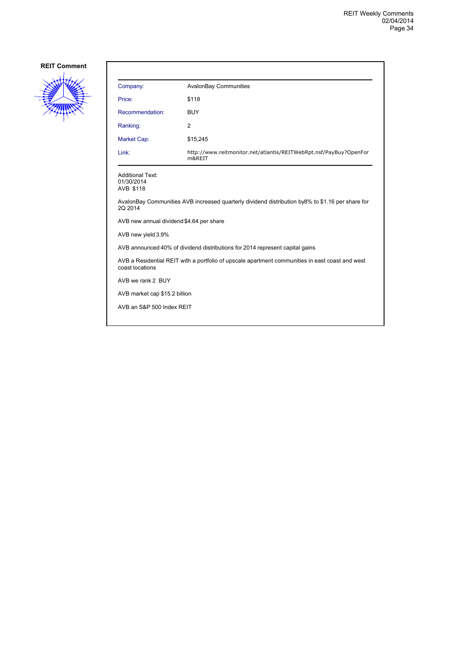

| Company:                                           | <b>AvalonBay Communities</b>                                                                     |
|----------------------------------------------------|--------------------------------------------------------------------------------------------------|
| Price:                                             | \$118                                                                                            |
| Recommendation:                                    | <b>BUY</b>                                                                                       |
| Ranking:                                           | 2                                                                                                |
| Market Cap:                                        | \$15,245                                                                                         |
| Link:                                              | http://www.reitmonitor.net/atlantis/REITWebRpt.nsf/PayBuy?OpenFor<br>m&REIT                      |
| <b>Additional Text:</b><br>01/30/2014<br>AVB \$118 |                                                                                                  |
| 2Q 2014                                            | AvalonBay Communities AVB increased quarterly dividend distribution by8% to \$1.16 per share for |
| AVB new annual dividend \$4.64 per share           |                                                                                                  |
| AVB new yield 3.9%                                 |                                                                                                  |
|                                                    | AVB announced 40% of dividend distributions for 2014 represent capital gains                     |
| coast locations                                    | AVB a Residential REIT with a portfolio of upscale apartment communities in east coast and west  |
| AVB we rank 2 BUY                                  |                                                                                                  |
| AVB market cap \$15.2 billion                      |                                                                                                  |
| AVB an S&P 500 Index REIT                          |                                                                                                  |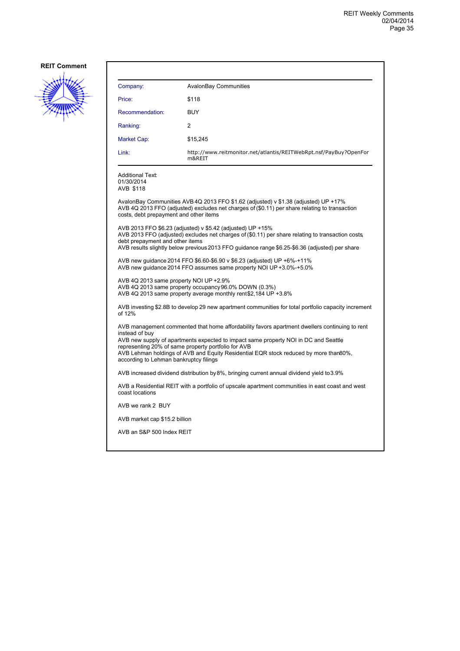

| Company:                                                                                                                                                                                                                                                                                                                                                                                        | <b>AvalonBay Communities</b>                                                                                                                                                                                                                                      |  |
|-------------------------------------------------------------------------------------------------------------------------------------------------------------------------------------------------------------------------------------------------------------------------------------------------------------------------------------------------------------------------------------------------|-------------------------------------------------------------------------------------------------------------------------------------------------------------------------------------------------------------------------------------------------------------------|--|
| Price:                                                                                                                                                                                                                                                                                                                                                                                          | \$118                                                                                                                                                                                                                                                             |  |
| Recommendation:                                                                                                                                                                                                                                                                                                                                                                                 | <b>BUY</b>                                                                                                                                                                                                                                                        |  |
| Ranking:                                                                                                                                                                                                                                                                                                                                                                                        | 2                                                                                                                                                                                                                                                                 |  |
| Market Cap:                                                                                                                                                                                                                                                                                                                                                                                     | \$15,245                                                                                                                                                                                                                                                          |  |
| Link:                                                                                                                                                                                                                                                                                                                                                                                           | http://www.reitmonitor.net/atlantis/REITWebRpt.nsf/PayBuy?OpenFor<br>m&REIT                                                                                                                                                                                       |  |
| <b>Additional Text:</b><br>01/30/2014<br>AVB \$118                                                                                                                                                                                                                                                                                                                                              |                                                                                                                                                                                                                                                                   |  |
| costs, debt prepayment and other items                                                                                                                                                                                                                                                                                                                                                          | AvalonBay Communities AVB 4Q 2013 FFO \$1.62 (adjusted) v \$1.38 (adjusted) UP +17%<br>AVB 4Q 2013 FFO (adjusted) excludes net charges of (\$0.11) per share relating to transaction                                                                              |  |
| debt prepayment and other items                                                                                                                                                                                                                                                                                                                                                                 | AVB 2013 FFO \$6.23 (adjusted) v \$5.42 (adjusted) UP +15%<br>AVB 2013 FFO (adjusted) excludes net charges of (\$0.11) per share relating to transaction costs.<br>AVB results slightly below previous 2013 FFO guidance range \$6.25-\$6.36 (adjusted) per share |  |
|                                                                                                                                                                                                                                                                                                                                                                                                 | AVB new guidance 2014 FFO \$6.60-\$6.90 v \$6.23 (adjusted) UP +6%-+11%<br>AVB new quidance 2014 FFO assumes same property NOI UP +3.0%-+5.0%                                                                                                                     |  |
| AVB 4Q 2013 same property NOI UP +2.9%                                                                                                                                                                                                                                                                                                                                                          | AVB 4Q 2013 same property occupancy 96.0% DOWN (0.3%)<br>AVB 4Q 2013 same property average monthly rent \$2,184 UP +3.8%                                                                                                                                          |  |
| of 12%                                                                                                                                                                                                                                                                                                                                                                                          | AVB investing \$2.8B to develop 29 new apartment communities for total portfolio capacity increment                                                                                                                                                               |  |
| AVB management commented that home affordability favors apartment dwellers continuing to rent<br>instead of buy<br>AVB new supply of apartments expected to impact same property NOI in DC and Seattle<br>representing 20% of same property portfolio for AVB<br>AVB Lehman holdings of AVB and Equity Residential EQR stock reduced by more than80%,<br>according to Lehman bankruptcy filings |                                                                                                                                                                                                                                                                   |  |
| AVB increased dividend distribution by 8%, bringing current annual dividend yield to 3.9%                                                                                                                                                                                                                                                                                                       |                                                                                                                                                                                                                                                                   |  |
| coast locations                                                                                                                                                                                                                                                                                                                                                                                 | AVB a Residential REIT with a portfolio of upscale apartment communities in east coast and west                                                                                                                                                                   |  |
| AVB we rank 2 BUY                                                                                                                                                                                                                                                                                                                                                                               |                                                                                                                                                                                                                                                                   |  |
| AVB market cap \$15.2 billion                                                                                                                                                                                                                                                                                                                                                                   |                                                                                                                                                                                                                                                                   |  |
| AVB an S&P 500 Index REIT                                                                                                                                                                                                                                                                                                                                                                       |                                                                                                                                                                                                                                                                   |  |
|                                                                                                                                                                                                                                                                                                                                                                                                 |                                                                                                                                                                                                                                                                   |  |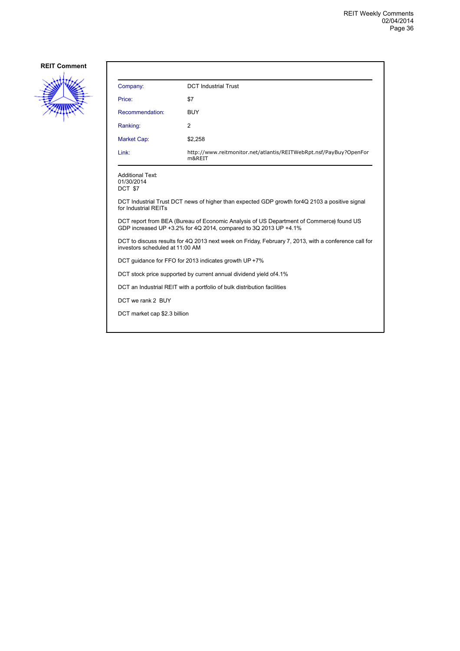

| Company:                                                                                                                                                    | <b>DCT Industrial Trust</b>                                                 |  |
|-------------------------------------------------------------------------------------------------------------------------------------------------------------|-----------------------------------------------------------------------------|--|
| Price:                                                                                                                                                      | \$7                                                                         |  |
| Recommendation:                                                                                                                                             | <b>BUY</b>                                                                  |  |
| Ranking:                                                                                                                                                    | 2                                                                           |  |
| Market Cap:                                                                                                                                                 | \$2,258                                                                     |  |
| Link:                                                                                                                                                       | http://www.reitmonitor.net/atlantis/REITWebRpt.nsf/PayBuy?OpenFor<br>m&REIT |  |
| <b>Additional Text:</b><br>01/30/2014<br>DCT \$7                                                                                                            |                                                                             |  |
| DCT Industrial Trust DCT news of higher than expected GDP growth for 4Q 2103 a positive signal<br>for Industrial REITs                                      |                                                                             |  |
| DCT report from BEA (Bureau of Economic Analysis of US Department of Commerce) found US<br>GDP increased UP +3.2% for 4Q 2014, compared to 3Q 2013 UP +4.1% |                                                                             |  |
| DCT to discuss results for 4Q 2013 next week on Friday, February 7, 2013, with a conference call for<br>investors scheduled at 11:00 AM                     |                                                                             |  |
| DCT guidance for FFO for 2013 indicates growth UP +7%                                                                                                       |                                                                             |  |
| DCT stock price supported by current annual dividend yield of 4.1%                                                                                          |                                                                             |  |
|                                                                                                                                                             | DCT an Industrial REIT with a portfolio of bulk distribution facilities     |  |
| DCT we rank 2 BUY                                                                                                                                           |                                                                             |  |
| DCT market cap \$2.3 billion                                                                                                                                |                                                                             |  |
|                                                                                                                                                             |                                                                             |  |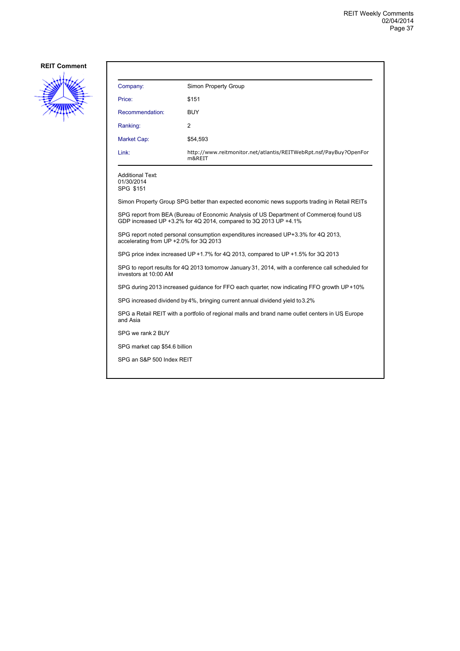

| Company:        | Simon Property Group                                                        |
|-----------------|-----------------------------------------------------------------------------|
| Price:          | \$151                                                                       |
| Recommendation: | <b>BUY</b>                                                                  |
| Ranking:        | 2                                                                           |
| Market Cap:     | \$54,593                                                                    |
| Link:           | http://www.reitmonitor.net/atlantis/REITWebRpt.nsf/PayBuy?OpenFor<br>m&REIT |

SPG \$151

Simon Property Group SPG better than expected economic news supports trading in Retail REITs

SPG report from BEA (Bureau of Economic Analysis of US Department of Commerce) found US GDP increased UP +3.2% for 4Q 2014, compared to 3Q 2013 UP +4.1%

SPG report noted personal consumption expenditures increased UP +3.3% for 4Q 2013, accelerating from UP +2.0% for 3Q 2013

SPG price index increased UP +1.7% for 4Q 2013, compared to UP +1.5% for 3Q 2013

SPG to report results for 4Q 2013 tomorrow January 31, 2014, with a conference call scheduled for investors at 10:00 AM

SPG during 2013 increased guidance for FFO each quarter, now indicating FFO growth UP +10%

SPG increased dividend by 4%, bringing current annual dividend yield to 3.2%

SPG a Retail REIT with a portfolio of regional malls and brand name outlet centers in US Europe and Asia

SPG we rank 2 BUY

SPG market cap \$54.6 billion

SPG an S&P 500 Index REIT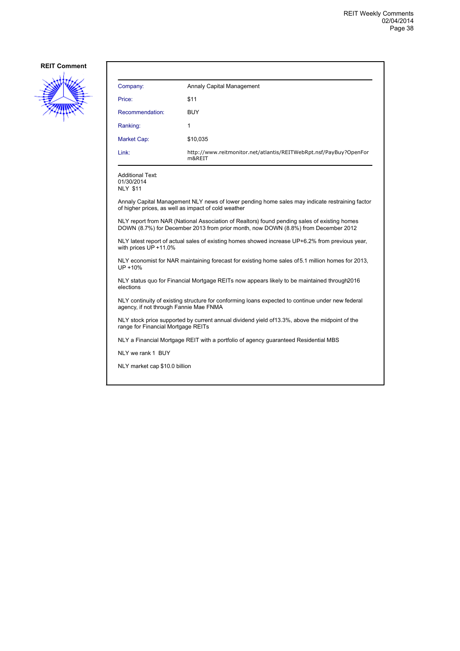

| Company:        | Annaly Capital Management                                                   |
|-----------------|-----------------------------------------------------------------------------|
| Price:          | \$11                                                                        |
| Recommendation: | <b>BUY</b>                                                                  |
| Ranking:        | 1                                                                           |
| Market Cap:     | \$10,035                                                                    |
| Link:           | http://www.reitmonitor.net/atlantis/REITWebRpt.nsf/PayBuy?OpenFor<br>m&REIT |

Additional Text: 01/30/2014

NLY \$11

Annaly Capital Management NLY news of lower pending home sales may indicate restraining factor of higher prices, as well as impact of cold weather

NLY report from NAR (National Association of Realtors) found pending sales of existing homes DOWN (8.7%) for December 2013 from prior month, now DOWN (8.8%) from December 2012

NLY latest report of actual sales of existing homes showed increase UP +6.2% from previous year, with prices UP +11.0%

NLY economist for NAR maintaining forecast for existing home sales of 5.1 million homes for 2013, UP +10%

NLY status quo for Financial Mortgage REITs now appears likely to be maintained through 2016 elections

NLY continuity of existing structure for conforming loans expected to continue under new federal agency, if not through Fannie Mae FNMA

NLY stock price supported by current annual dividend yield of 13.3%, above the midpoint of the range for Financial Mortgage REITs

NLY a Financial Mortgage REIT with a portfolio of agency guaranteed Residential MBS

NLY we rank 1 BUY

NLY market cap \$10.0 billion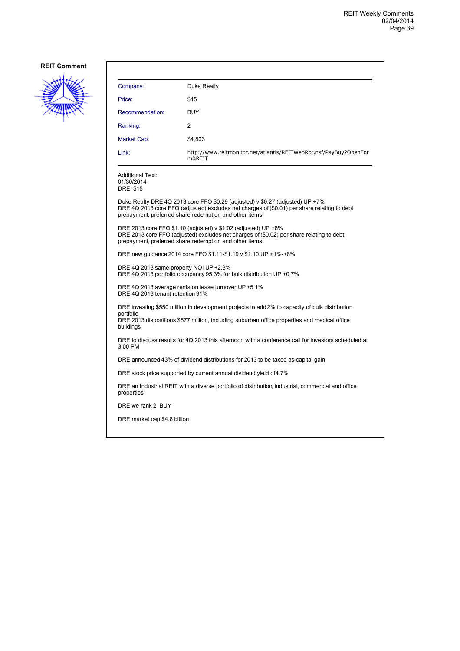

| Company:                                                                                                               | Duke Realty                                                                                                                                                                                                                            |  |
|------------------------------------------------------------------------------------------------------------------------|----------------------------------------------------------------------------------------------------------------------------------------------------------------------------------------------------------------------------------------|--|
| Price:                                                                                                                 | \$15                                                                                                                                                                                                                                   |  |
| Recommendation:                                                                                                        | BUY                                                                                                                                                                                                                                    |  |
| Ranking:                                                                                                               | 2                                                                                                                                                                                                                                      |  |
| Market Cap:                                                                                                            | \$4,803                                                                                                                                                                                                                                |  |
| Link:                                                                                                                  | http://www.reitmonitor.net/atlantis/REITWebRpt.nsf/PayBuy?OpenFor<br>m&REIT                                                                                                                                                            |  |
| <b>Additional Text:</b><br>01/30/2014<br><b>DRE \$15</b>                                                               |                                                                                                                                                                                                                                        |  |
|                                                                                                                        | Duke Realty DRE 4Q 2013 core FFO \$0.29 (adjusted) v \$0.27 (adjusted) UP +7%<br>DRE 4Q 2013 core FFO (adjusted) excludes net charges of (\$0.01) per share relating to debt<br>prepayment, preferred share redemption and other items |  |
|                                                                                                                        | DRE 2013 core FFO \$1.10 (adjusted) v \$1.02 (adjusted) UP +8%<br>DRE 2013 core FFO (adjusted) excludes net charges of (\$0.02) per share relating to debt<br>prepayment, preferred share redemption and other items                   |  |
| DRE new quidance 2014 core FFO \$1.11-\$1.19 v \$1.10 UP +1%-+8%                                                       |                                                                                                                                                                                                                                        |  |
| DRE 4Q 2013 same property NOI UP +2.3%<br>DRE 4Q 2013 portfolio occupancy 95.3% for bulk distribution UP +0.7%         |                                                                                                                                                                                                                                        |  |
| DRE 4Q 2013 average rents on lease turnover UP +5.1%<br>DRE 4Q 2013 tenant retention 91%                               |                                                                                                                                                                                                                                        |  |
| DRE investing \$550 million in development projects to add 2% to capacity of bulk distribution                         |                                                                                                                                                                                                                                        |  |
| portfolio<br>DRE 2013 dispositions \$877 million, including suburban office properties and medical office<br>buildings |                                                                                                                                                                                                                                        |  |
| DRE to discuss results for 4Q 2013 this afternoon with a conference call for investors scheduled at<br>3:00 PM         |                                                                                                                                                                                                                                        |  |
|                                                                                                                        | DRE announced 43% of dividend distributions for 2013 to be taxed as capital gain                                                                                                                                                       |  |
|                                                                                                                        | DRE stock price supported by current annual dividend yield of 4.7%                                                                                                                                                                     |  |
| properties                                                                                                             | DRE an Industrial REIT with a diverse portfolio of distribution, industrial, commercial and office                                                                                                                                     |  |
| DRE we rank 2 BUY                                                                                                      |                                                                                                                                                                                                                                        |  |
| DRE market cap \$4.8 billion                                                                                           |                                                                                                                                                                                                                                        |  |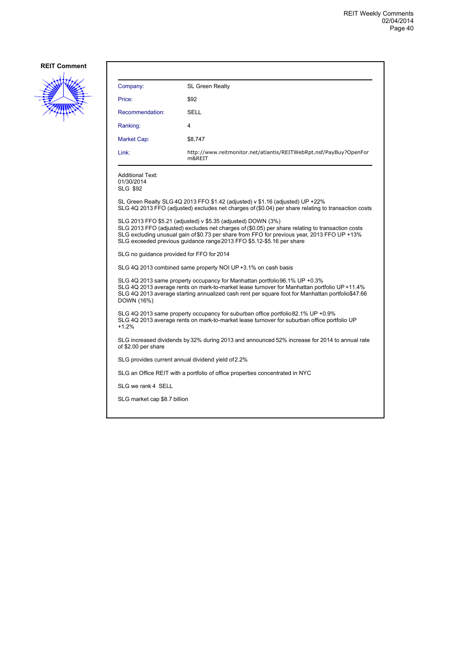

| Company:                                                                                                                                                                                                                                                                                                                                 | <b>SL Green Realty</b>                                                                                                                                                                 |  |
|------------------------------------------------------------------------------------------------------------------------------------------------------------------------------------------------------------------------------------------------------------------------------------------------------------------------------------------|----------------------------------------------------------------------------------------------------------------------------------------------------------------------------------------|--|
| Price:                                                                                                                                                                                                                                                                                                                                   | \$92                                                                                                                                                                                   |  |
| Recommendation:                                                                                                                                                                                                                                                                                                                          | SELL                                                                                                                                                                                   |  |
| Ranking:                                                                                                                                                                                                                                                                                                                                 | 4                                                                                                                                                                                      |  |
| Market Cap:                                                                                                                                                                                                                                                                                                                              | \$8,747                                                                                                                                                                                |  |
| Link:                                                                                                                                                                                                                                                                                                                                    | http://www.reitmonitor.net/atlantis/REITWebRpt.nsf/PayBuy?OpenFor<br>m&REIT                                                                                                            |  |
| <b>Additional Text:</b><br>01/30/2014<br><b>SLG \$92</b>                                                                                                                                                                                                                                                                                 |                                                                                                                                                                                        |  |
|                                                                                                                                                                                                                                                                                                                                          | SL Green Realty SLG 4Q 2013 FFO $$1.42$ (adjusted) v $$1.16$ (adjusted) UP +22%<br>SLG 4Q 2013 FFO (adjusted) excludes net charges of (\$0.04) per share relating to transaction costs |  |
| SLG 2013 FFO \$5.21 (adjusted) v \$5.35 (adjusted) DOWN (3%)<br>SLG 2013 FFO (adjusted) excludes net charges of (\$0.05) per share relating to transaction costs<br>SLG excluding unusual gain of \$0.73 per share from FFO for previous year, 2013 FFO UP +13%<br>SLG exceeded previous quidance range 2013 FFO \$5.12-\$5.16 per share |                                                                                                                                                                                        |  |
| SLG no quidance provided for FFO for 2014                                                                                                                                                                                                                                                                                                |                                                                                                                                                                                        |  |
| SLG 4Q 2013 combined same property NOI UP +3.1% on cash basis                                                                                                                                                                                                                                                                            |                                                                                                                                                                                        |  |
| SLG 4Q 2013 same property occupancy for Manhattan portfolio 96.1% UP +0.3%<br>SLG 4Q 2013 average rents on mark-to-market lease turnover for Manhattan portfolio UP +11.4%<br>SLG 4Q 2013 average starting annualized cash rent per square foot for Manhattan portfolio\$47.66<br>DOWN (16%)                                             |                                                                                                                                                                                        |  |
| SLG 4Q 2013 same property occupancy for suburban office portfolio 82.1% UP +0.9%<br>SLG 4Q 2013 average rents on mark-to-market lease turnover for suburban office portfolio UP<br>$+1.2%$                                                                                                                                               |                                                                                                                                                                                        |  |
| of \$2.00 per share                                                                                                                                                                                                                                                                                                                      | SLG increased dividends by 32% during 2013 and announced 52% increase for 2014 to annual rate                                                                                          |  |
| SLG provides current annual dividend yield of 2.2%                                                                                                                                                                                                                                                                                       |                                                                                                                                                                                        |  |
|                                                                                                                                                                                                                                                                                                                                          | SLG an Office REIT with a portfolio of office properties concentrated in NYC                                                                                                           |  |
| SLG we rank 4 SELL                                                                                                                                                                                                                                                                                                                       |                                                                                                                                                                                        |  |
| SLG market cap \$8.7 billion                                                                                                                                                                                                                                                                                                             |                                                                                                                                                                                        |  |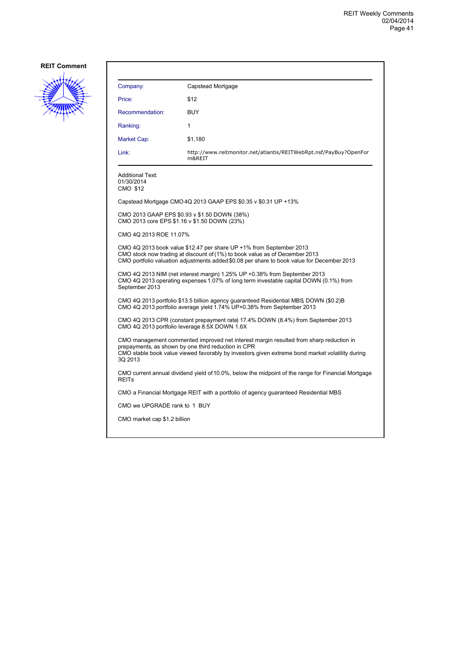

| Company:                                                                                                                                                                                                                                                    | Capstead Mortgage                                                                            |  |
|-------------------------------------------------------------------------------------------------------------------------------------------------------------------------------------------------------------------------------------------------------------|----------------------------------------------------------------------------------------------|--|
| Price:                                                                                                                                                                                                                                                      | \$12                                                                                         |  |
| Recommendation:                                                                                                                                                                                                                                             | <b>BUY</b>                                                                                   |  |
| Ranking:                                                                                                                                                                                                                                                    | 1                                                                                            |  |
| Market Cap:                                                                                                                                                                                                                                                 | \$1,180                                                                                      |  |
| Link:                                                                                                                                                                                                                                                       | http://www.reitmonitor.net/atlantis/REITWebRpt.nsf/PayBuy?OpenFor<br>m&REIT                  |  |
| <b>Additional Text:</b><br>01/30/2014<br>CMO \$12                                                                                                                                                                                                           |                                                                                              |  |
|                                                                                                                                                                                                                                                             | Capstead Mortgage CMO 4Q 2013 GAAP EPS \$0.35 v \$0.31 UP +13%                               |  |
|                                                                                                                                                                                                                                                             | CMO 2013 GAAP EPS \$0.93 v \$1.50 DOWN (38%)<br>CMO 2013 core EPS \$1.16 v \$1.50 DOWN (23%) |  |
| CMO 4Q 2013 ROE 11.07%                                                                                                                                                                                                                                      |                                                                                              |  |
| CMO 4Q 2013 book value \$12.47 per share UP +1% from September 2013<br>CMO stock now trading at discount of (1%) to book value as of December 2013<br>CMO portfolio valuation adjustments added \$0.08 per share to book value for December 2013            |                                                                                              |  |
| CMO 4Q 2013 NIM (net interest margin) 1.25% UP +0.38% from September 2013<br>CMO 4Q 2013 operating expenses 1.07% of long term investable capital DOWN (0.1%) from<br>September 2013                                                                        |                                                                                              |  |
| CMO 4Q 2013 portfolio \$13.5 billion agency guaranteed Residential MBS, DOWN (\$0.2)B<br>CMO 4Q 2013 portfolio average yield 1.74% UP+0.38% from September 2013                                                                                             |                                                                                              |  |
| CMO 4Q 2013 CPR (constant prepayment rate) 17.4% DOWN (8.4%) from September 2013<br>CMO 4Q 2013 portfolio leverage 8.5X DOWN 1.6X                                                                                                                           |                                                                                              |  |
| CMO management commented improved net interest margin resulted from sharp reduction in<br>prepayments, as shown by one third reduction in CPR<br>CMO stable book value viewed favorably by investors given extreme bond market volatility during<br>3Q 2013 |                                                                                              |  |
| CMO current annual dividend yield of 10.0%, below the midpoint of the range for Financial Mortgage<br><b>REITs</b>                                                                                                                                          |                                                                                              |  |
|                                                                                                                                                                                                                                                             | CMO a Financial Mortgage REIT with a portfolio of agency guaranteed Residential MBS          |  |
| CMO we UPGRADE rank to 1 BUY                                                                                                                                                                                                                                |                                                                                              |  |
| CMO market cap \$1.2 billion                                                                                                                                                                                                                                |                                                                                              |  |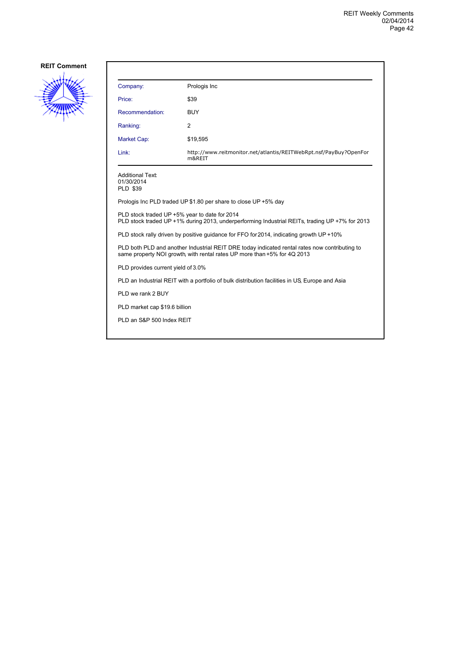

| Company:                                                                                                                                                                  | Prologis Inc                                                                |  |
|---------------------------------------------------------------------------------------------------------------------------------------------------------------------------|-----------------------------------------------------------------------------|--|
| Price:                                                                                                                                                                    | \$39                                                                        |  |
| Recommendation:                                                                                                                                                           | <b>BUY</b>                                                                  |  |
| Ranking:                                                                                                                                                                  | 2                                                                           |  |
| Market Cap:                                                                                                                                                               | \$19,595                                                                    |  |
| Link:                                                                                                                                                                     | http://www.reitmonitor.net/atlantis/REITWebRpt.nsf/PayBuy?OpenFor<br>m&REIT |  |
| <b>Additional Text:</b><br>01/30/2014<br><b>PLD \$39</b>                                                                                                                  |                                                                             |  |
|                                                                                                                                                                           | Prologis Inc PLD traded UP \$1.80 per share to close UP +5% day             |  |
| PLD stock traded UP +5% year to date for 2014<br>PLD stock traded UP +1% during 2013, underperforming Industrial REITs, trading UP +7% for 2013                           |                                                                             |  |
| PLD stock rally driven by positive guidance for FFO for 2014, indicating growth UP +10%                                                                                   |                                                                             |  |
| PLD both PLD and another Industrial REIT DRE today indicated rental rates now contributing to<br>same property NOI growth, with rental rates UP more than +5% for 4Q 2013 |                                                                             |  |
| PLD provides current yield of 3.0%                                                                                                                                        |                                                                             |  |
| PLD an Industrial REIT with a portfolio of bulk distribution facilities in US, Europe and Asia                                                                            |                                                                             |  |
| PLD we rank 2 BUY                                                                                                                                                         |                                                                             |  |
| PLD market cap \$19.6 billion                                                                                                                                             |                                                                             |  |
| PLD an S&P 500 Index REIT                                                                                                                                                 |                                                                             |  |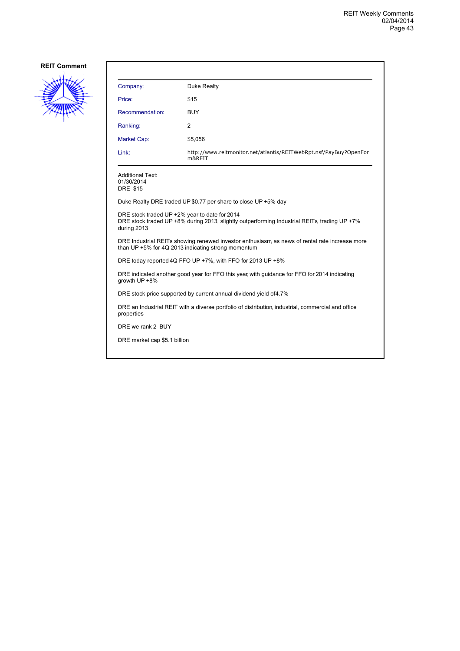

| Company:                                                                                                                                                     | Duke Realty                                                                 |  |
|--------------------------------------------------------------------------------------------------------------------------------------------------------------|-----------------------------------------------------------------------------|--|
| Price:                                                                                                                                                       | \$15                                                                        |  |
| Recommendation:                                                                                                                                              | <b>BUY</b>                                                                  |  |
| Ranking:                                                                                                                                                     | 2                                                                           |  |
| Market Cap:                                                                                                                                                  | \$5,056                                                                     |  |
| Link:                                                                                                                                                        | http://www.reitmonitor.net/atlantis/REITWebRpt.nsf/PayBuy?OpenFor<br>m&REIT |  |
| <b>Additional Text:</b><br>01/30/2014<br><b>DRE \$15</b>                                                                                                     |                                                                             |  |
|                                                                                                                                                              | Duke Realty DRE traded UP \$0.77 per share to close UP +5% day              |  |
| DRE stock traded UP +2% year to date for 2014<br>DRE stock traded UP +8% during 2013, slightly outperforming Industrial REITs, trading UP +7%<br>during 2013 |                                                                             |  |
| DRE Industrial REITs showing renewed investor enthusiasm as news of rental rate increase more<br>than UP +5% for 4Q 2013 indicating strong momentum          |                                                                             |  |
| DRE today reported 4Q FFO UP +7%, with FFO for 2013 UP +8%                                                                                                   |                                                                             |  |
| DRE indicated another good year for FFO this year, with guidance for FFO for 2014 indicating<br>growth UP +8%                                                |                                                                             |  |
| DRE stock price supported by current annual dividend yield of 4.7%                                                                                           |                                                                             |  |
| DRE an Industrial REIT with a diverse portfolio of distribution, industrial, commercial and office<br>properties                                             |                                                                             |  |
| DRE we rank 2 BUY                                                                                                                                            |                                                                             |  |
| DRE market cap \$5.1 billion                                                                                                                                 |                                                                             |  |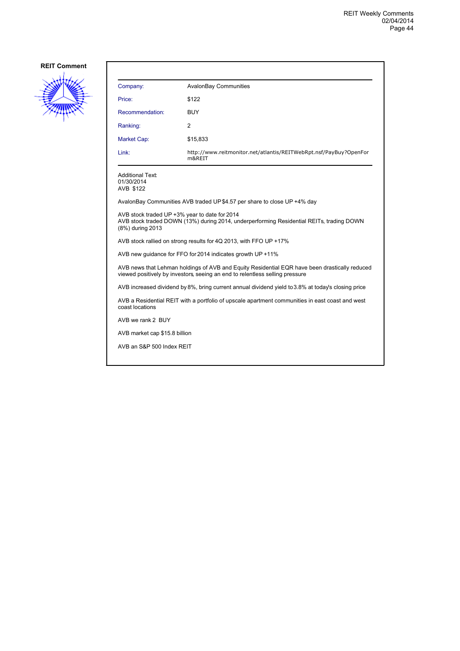

| Company:        | <b>AvalonBay Communities</b>                                                |
|-----------------|-----------------------------------------------------------------------------|
| Price:          | \$122                                                                       |
| Recommendation: | <b>BUY</b>                                                                  |
| Ranking:        | $\overline{2}$                                                              |
| Market Cap:     | \$15,833                                                                    |
| Link:           | http://www.reitmonitor.net/atlantis/REITWebRpt.nsf/PayBuy?OpenFor<br>m&REIT |

Additional Text: 01/30/2014 AVB \$122

AvalonBay Communities AVB traded UP \$4.57 per share to close UP +4% day

AVB stock traded UP +3% year to date for 2014 AVB stock traded DOWN (13%) during 2014, underperforming Residential REITs, trading DOWN (8%) during 2013

AVB stock rallied on strong results for 4Q 2013, with FFO UP +17%

AVB new guidance for FFO for 2014 indicates growth UP +11%

AVB news that Lehman holdings of AVB and Equity Residential EQR have been drastically reduced viewed positively by investors, seeing an end to relentless selling pressure

AVB increased dividend by 8%, bring current annual dividend yield to 3.8% at today's closing price

AVB a Residential REIT with a portfolio of upscale apartment communities in east coast and west coast locations

AVB we rank 2 BUY

AVB market cap \$15.8 billion

AVB an S&P 500 Index REIT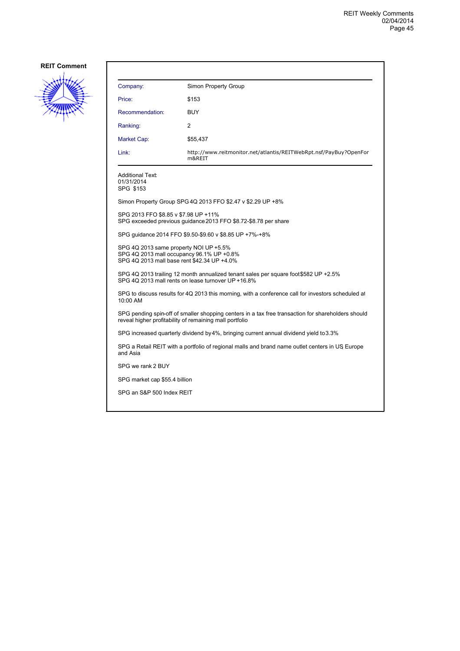

| Company:                                                                                                                                                      | Simon Property Group                                                                            |  |
|---------------------------------------------------------------------------------------------------------------------------------------------------------------|-------------------------------------------------------------------------------------------------|--|
| Price:                                                                                                                                                        | \$153                                                                                           |  |
| Recommendation:                                                                                                                                               | <b>BUY</b>                                                                                      |  |
| Ranking:                                                                                                                                                      | 2                                                                                               |  |
| Market Cap:                                                                                                                                                   | \$55,437                                                                                        |  |
| Link:                                                                                                                                                         | http://www.reitmonitor.net/atlantis/REITWebRpt.nsf/PayBuy?OpenFor<br>m&REIT                     |  |
| <b>Additional Text:</b><br>01/31/2014<br>SPG \$153                                                                                                            |                                                                                                 |  |
|                                                                                                                                                               | Simon Property Group SPG 4Q 2013 FFO \$2.47 v \$2.29 UP +8%                                     |  |
| SPG 2013 FFO \$8.85 v \$7.98 UP +11%                                                                                                                          | SPG exceeded previous guidance 2013 FFO \$8.72-\$8.78 per share                                 |  |
|                                                                                                                                                               | SPG quidance 2014 FFO \$9.50-\$9.60 v \$8.85 UP +7%-+8%                                         |  |
| SPG 4Q 2013 same property NOI UP +5.5%<br>SPG 4Q 2013 mall occupancy 96.1% UP +0.8%<br>SPG 4Q 2013 mall base rent \$42.34 UP +4.0%                            |                                                                                                 |  |
| SPG 4Q 2013 trailing 12 month annualized tenant sales per square foot \$582 UP +2.5%<br>SPG 4Q 2013 mall rents on lease turnover UP +16.8%                    |                                                                                                 |  |
| SPG to discuss results for 4Q 2013 this morning, with a conference call for investors scheduled at<br>10:00 AM                                                |                                                                                                 |  |
| SPG pending spin-off of smaller shopping centers in a tax free transaction for shareholders should<br>reveal higher profitability of remaining mall portfolio |                                                                                                 |  |
|                                                                                                                                                               | SPG increased quarterly dividend by 4%, bringing current annual dividend yield to 3.3%          |  |
| and Asia                                                                                                                                                      | SPG a Retail REIT with a portfolio of regional malls and brand name outlet centers in US Europe |  |
| SPG we rank 2 BUY                                                                                                                                             |                                                                                                 |  |
| SPG market cap \$55.4 billion                                                                                                                                 |                                                                                                 |  |
| SPG an S&P 500 Index REIT                                                                                                                                     |                                                                                                 |  |
|                                                                                                                                                               |                                                                                                 |  |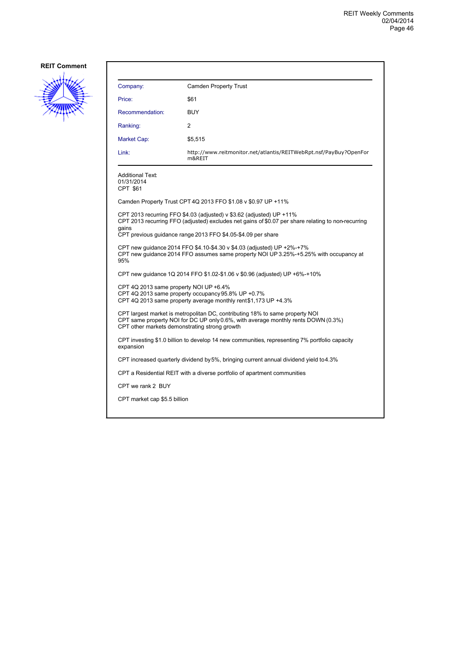

| Company:                                                                                                                                                                                                           | <b>Camden Property Trust</b>                                                                                                                                               |  |
|--------------------------------------------------------------------------------------------------------------------------------------------------------------------------------------------------------------------|----------------------------------------------------------------------------------------------------------------------------------------------------------------------------|--|
| Price:                                                                                                                                                                                                             | \$61                                                                                                                                                                       |  |
| Recommendation:                                                                                                                                                                                                    | <b>BUY</b>                                                                                                                                                                 |  |
| Ranking:                                                                                                                                                                                                           | 2                                                                                                                                                                          |  |
| Market Cap:                                                                                                                                                                                                        | \$5,515                                                                                                                                                                    |  |
| Link:                                                                                                                                                                                                              | http://www.reitmonitor.net/atlantis/REITWebRpt.nsf/PayBuy?OpenFor<br>m&REIT                                                                                                |  |
| <b>Additional Text:</b><br>01/31/2014<br>CPT \$61                                                                                                                                                                  |                                                                                                                                                                            |  |
|                                                                                                                                                                                                                    | Camden Property Trust CPT 4Q 2013 FFO \$1.08 v \$0.97 UP +11%                                                                                                              |  |
| gains                                                                                                                                                                                                              | CPT 2013 recurring FFO \$4.03 (adjusted) v \$3.62 (adjusted) UP +11%<br>CPT 2013 recurring FFO (adjusted) excludes net gains of \$0.07 per share relating to non-recurring |  |
|                                                                                                                                                                                                                    | CPT previous guidance range 2013 FFO \$4.05-\$4.09 per share                                                                                                               |  |
| CPT new quidance 2014 FFO \$4.10-\$4.30 v \$4.03 (adjusted) UP +2%-+7%<br>CPT new quidance 2014 FFO assumes same property NOI UP 3.25%-+5.25% with occupancy at<br>95%                                             |                                                                                                                                                                            |  |
|                                                                                                                                                                                                                    | CPT new guidance 1Q 2014 FFO \$1.02-\$1.06 v \$0.96 (adjusted) UP +6%-+10%                                                                                                 |  |
| CPT 4Q 2013 same property NOI UP +6.4%<br>CPT 4Q 2013 same property occupancy 95.8% UP +0.7%<br>CPT 4Q 2013 same property average monthly rent \$1,173 UP +4.3%                                                    |                                                                                                                                                                            |  |
| CPT largest market is metropolitan DC, contributing 18% to same property NOI<br>CPT same property NOI for DC UP only 0.6%, with average monthly rents DOWN (0.3%)<br>CPT other markets demonstrating strong growth |                                                                                                                                                                            |  |
| expansion                                                                                                                                                                                                          | CPT investing \$1.0 billion to develop 14 new communities, representing 7% portfolio capacity                                                                              |  |
|                                                                                                                                                                                                                    | CPT increased quarterly dividend by 5%, bringing current annual dividend yield to 4.3%                                                                                     |  |
|                                                                                                                                                                                                                    | CPT a Residential REIT with a diverse portfolio of apartment communities                                                                                                   |  |
| CPT we rank 2 BUY                                                                                                                                                                                                  |                                                                                                                                                                            |  |
| CPT market cap \$5.5 billion                                                                                                                                                                                       |                                                                                                                                                                            |  |
|                                                                                                                                                                                                                    |                                                                                                                                                                            |  |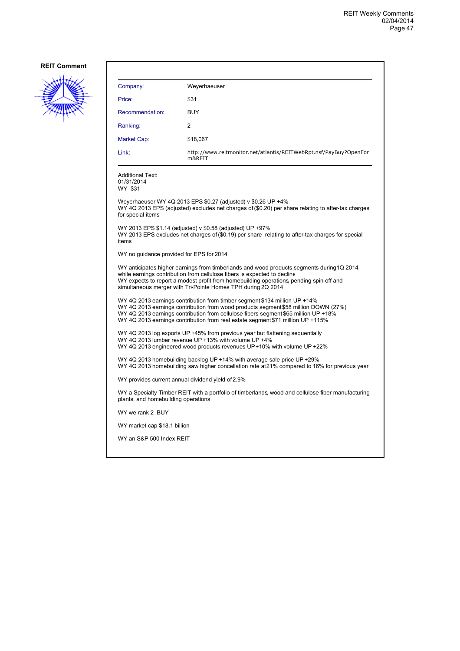

| Weyerhaeuser<br>Company:                                                                                                                                                                                                                                                                                                                    |  |  |
|---------------------------------------------------------------------------------------------------------------------------------------------------------------------------------------------------------------------------------------------------------------------------------------------------------------------------------------------|--|--|
| \$31<br>Price:                                                                                                                                                                                                                                                                                                                              |  |  |
| Recommendation:<br><b>BUY</b>                                                                                                                                                                                                                                                                                                               |  |  |
| 2<br>Ranking:                                                                                                                                                                                                                                                                                                                               |  |  |
| Market Cap:<br>\$18,067                                                                                                                                                                                                                                                                                                                     |  |  |
| Link:<br>http://www.reitmonitor.net/atlantis/REITWebRpt.nsf/PayBuy?OpenFor<br>m&REIT                                                                                                                                                                                                                                                        |  |  |
| <b>Additional Text:</b><br>01/31/2014<br>WY \$31                                                                                                                                                                                                                                                                                            |  |  |
| Weyerhaeuser WY 4Q 2013 EPS \$0.27 (adjusted) v \$0.26 UP +4%<br>WY 4Q 2013 EPS (adjusted) excludes net charges of (\$0.20) per share relating to after-tax charges<br>for special items                                                                                                                                                    |  |  |
| WY 2013 EPS \$1.14 (adjusted) v \$0.58 (adjusted) UP +97%<br>WY 2013 EPS excludes net charges of (\$0.19) per share relating to after-tax charges for special<br>items                                                                                                                                                                      |  |  |
| WY no guidance provided for EPS for 2014                                                                                                                                                                                                                                                                                                    |  |  |
| WY anticipates higher earnings from timberlands and wood products segments during 1Q 2014,<br>while earnings contribution from cellulose fibers is expected to decline<br>WY expects to report a modest profit from homebuilding operations, pending spin-off and<br>simultaneous merger with Tri-Pointe Homes TPH during 2Q 2014           |  |  |
| WY 4Q 2013 earnings contribution from timber segment \$134 million UP +14%<br>WY 4Q 2013 earnings contribution from wood products segment \$58 million DOWN (27%)<br>WY 4Q 2013 earnings contribution from cellulose fibers segment \$65 million UP +18%<br>WY 4Q 2013 earnings contribution from real estate segment \$71 million UP +115% |  |  |
| WY 4Q 2013 log exports UP +45% from previous year but flattening sequentially<br>WY 4Q 2013 lumber revenue UP +13% with volume UP +4%<br>WY 4Q 2013 engineered wood products revenues UP+10% with volume UP +22%                                                                                                                            |  |  |
| WY 4Q 2013 homebuilding backlog UP +14% with average sale price UP +29%<br>WY 4Q 2013 homebuilding saw higher concellation rate at 21% compared to 16% for previous year                                                                                                                                                                    |  |  |
| WY provides current annual dividend yield of 2.9%                                                                                                                                                                                                                                                                                           |  |  |
| WY a Specialty Timber REIT with a portfolio of timberlands, wood and cellulose fiber manufacturing<br>plants, and homebuilding operations                                                                                                                                                                                                   |  |  |
| WY we rank 2 BUY                                                                                                                                                                                                                                                                                                                            |  |  |
| WY market cap \$18.1 billion                                                                                                                                                                                                                                                                                                                |  |  |
| WY an S&P 500 Index REIT                                                                                                                                                                                                                                                                                                                    |  |  |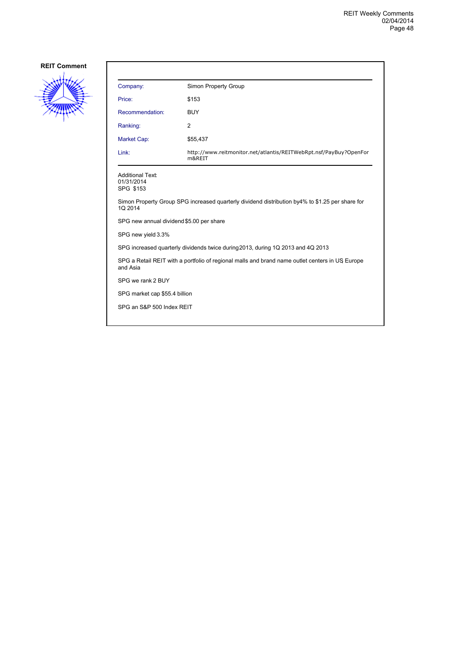

| Company:                                                                                                    | Simon Property Group                                                        |  |
|-------------------------------------------------------------------------------------------------------------|-----------------------------------------------------------------------------|--|
| Price:                                                                                                      | \$153                                                                       |  |
| Recommendation:                                                                                             | <b>BUY</b>                                                                  |  |
| Ranking:                                                                                                    | 2                                                                           |  |
| Market Cap:                                                                                                 | \$55,437                                                                    |  |
| Link:                                                                                                       | http://www.reitmonitor.net/atlantis/REITWebRpt.nsf/PayBuy?OpenFor<br>m&REIT |  |
| <b>Additional Text:</b><br>01/31/2014<br>SPG \$153                                                          |                                                                             |  |
| Simon Property Group SPG increased quarterly dividend distribution by4% to \$1.25 per share for<br>1Q 2014  |                                                                             |  |
| SPG new annual dividend \$5.00 per share                                                                    |                                                                             |  |
| SPG new yield 3.3%                                                                                          |                                                                             |  |
| SPG increased quarterly dividends twice during 2013, during 1Q 2013 and 4Q 2013                             |                                                                             |  |
| SPG a Retail REIT with a portfolio of regional malls and brand name outlet centers in US Europe<br>and Asia |                                                                             |  |
| SPG we rank 2 BUY                                                                                           |                                                                             |  |
| SPG market cap \$55.4 billion                                                                               |                                                                             |  |
| SPG an S&P 500 Index REIT                                                                                   |                                                                             |  |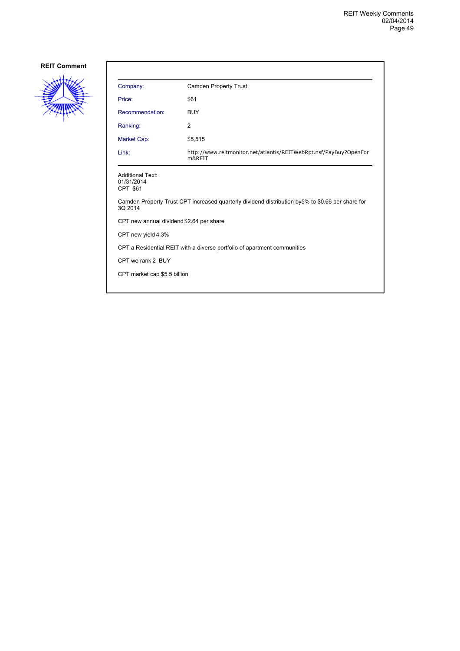

| Company:                                                                                                     | <b>Camden Property Trust</b>                                                |  |
|--------------------------------------------------------------------------------------------------------------|-----------------------------------------------------------------------------|--|
| Price:                                                                                                       | \$61                                                                        |  |
| Recommendation:                                                                                              | <b>BUY</b>                                                                  |  |
| Ranking:                                                                                                     | 2                                                                           |  |
| Market Cap:                                                                                                  | \$5,515                                                                     |  |
| Link:                                                                                                        | http://www.reitmonitor.net/atlantis/REITWebRpt.nsf/PayBuy?OpenFor<br>m&REIT |  |
| <b>Additional Text:</b><br>01/31/2014<br>CPT \$61                                                            |                                                                             |  |
| Camden Property Trust CPT increased quarterly dividend distribution by 5% to \$0.66 per share for<br>3Q 2014 |                                                                             |  |
| CPT new annual dividend \$2.64 per share                                                                     |                                                                             |  |
| CPT new yield 4.3%                                                                                           |                                                                             |  |
| CPT a Residential REIT with a diverse portfolio of apartment communities                                     |                                                                             |  |
| CPT we rank 2 BUY                                                                                            |                                                                             |  |
| CPT market cap \$5.5 billion                                                                                 |                                                                             |  |
|                                                                                                              |                                                                             |  |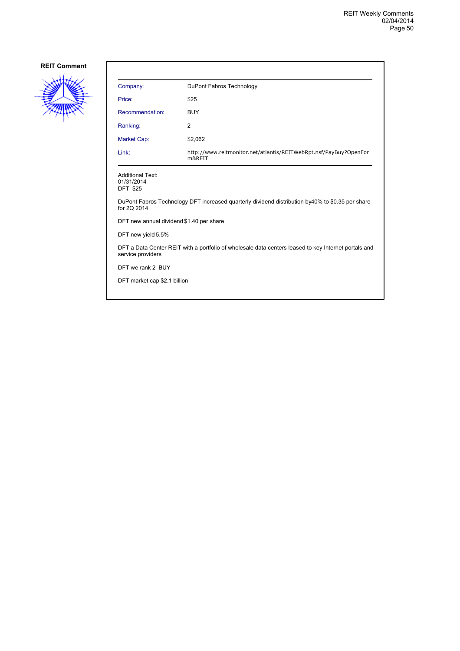

| Company:                                                                                                                  | DuPont Fabros Technology                                                    |  |
|---------------------------------------------------------------------------------------------------------------------------|-----------------------------------------------------------------------------|--|
| Price:                                                                                                                    | \$25                                                                        |  |
| Recommendation:                                                                                                           | <b>BUY</b>                                                                  |  |
| Ranking:                                                                                                                  | 2                                                                           |  |
| Market Cap:                                                                                                               | \$2,062                                                                     |  |
| Link:                                                                                                                     | http://www.reitmonitor.net/atlantis/REITWebRpt.nsf/PayBuy?OpenFor<br>m&REIT |  |
| <b>Additional Text:</b><br>01/31/2014<br><b>DFT \$25</b>                                                                  |                                                                             |  |
| DuPont Fabros Technology DFT increased quarterly dividend distribution by 40% to \$0.35 per share<br>for 20 2014          |                                                                             |  |
| DFT new annual dividend \$1.40 per share                                                                                  |                                                                             |  |
| DFT new yield 5.5%                                                                                                        |                                                                             |  |
| DFT a Data Center REIT with a portfolio of wholesale data centers leased to key Internet portals and<br>service providers |                                                                             |  |
| DFT we rank 2 BUY                                                                                                         |                                                                             |  |
| DFT market cap \$2.1 billion                                                                                              |                                                                             |  |
|                                                                                                                           |                                                                             |  |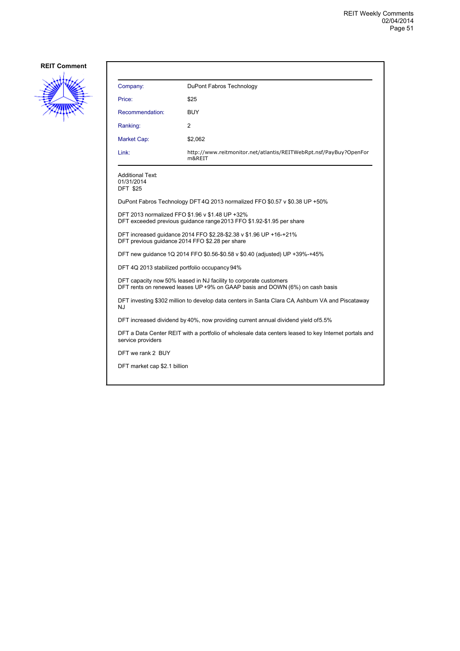

| Company:                                          | DuPont Fabros Technology                                                                                                                          |  |
|---------------------------------------------------|---------------------------------------------------------------------------------------------------------------------------------------------------|--|
| Price:                                            | \$25                                                                                                                                              |  |
| Recommendation:                                   | <b>BUY</b>                                                                                                                                        |  |
| Ranking:                                          | $\overline{2}$                                                                                                                                    |  |
| Market Cap:                                       | \$2,062                                                                                                                                           |  |
| Link:                                             | http://www.reitmonitor.net/atlantis/REITWebRpt.nsf/PayBuy?OpenFor<br>m&REIT                                                                       |  |
| Additional Text:<br>01/31/2014<br><b>DFT \$25</b> |                                                                                                                                                   |  |
|                                                   | DuPont Fabros Technology DFT 4Q 2013 normalized FFO \$0.57 v \$0.38 UP +50%                                                                       |  |
|                                                   | DFT 2013 normalized FFO \$1.96 v \$1.48 UP +32%<br>DFT exceeded previous guidance range 2013 FFO \$1.92-\$1.95 per share                          |  |
| DFT previous quidance 2014 FFO \$2.28 per share   | DFT increased guidance 2014 FFO \$2.28-\$2.38 v \$1.96 UP +16-+21%                                                                                |  |
|                                                   | DFT new quidance 1Q 2014 FFO \$0.56-\$0.58 v \$0.40 (adjusted) UP +39%-+45%                                                                       |  |
| DFT 4Q 2013 stabilized portfolio occupancy 94%    |                                                                                                                                                   |  |
|                                                   | DFT capacity now 50% leased in NJ facility to corporate customers<br>DFT rents on renewed leases UP +9% on GAAP basis and DOWN (6%) on cash basis |  |
| NJ                                                | DFT investing \$302 million to develop data centers in Santa Clara CA Ashburn VA and Piscataway                                                   |  |
|                                                   | DFT increased dividend by 40%, now providing current annual dividend yield of 5.5%                                                                |  |
| service providers                                 | DFT a Data Center REIT with a portfolio of wholesale data centers leased to key Internet portals and                                              |  |
| DFT we rank 2 BUY                                 |                                                                                                                                                   |  |
| DFT market cap \$2.1 billion                      |                                                                                                                                                   |  |
|                                                   |                                                                                                                                                   |  |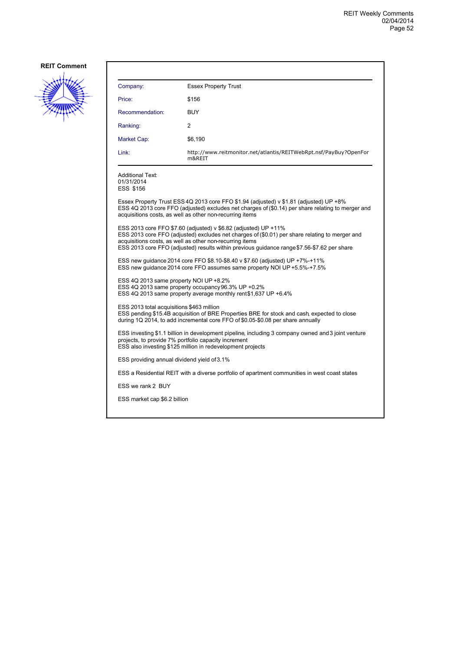

| Company:                                                                                                                                                                                                                 | <b>Essex Property Trust</b>                                                                                                                                                                                                                                                                                                  |  |
|--------------------------------------------------------------------------------------------------------------------------------------------------------------------------------------------------------------------------|------------------------------------------------------------------------------------------------------------------------------------------------------------------------------------------------------------------------------------------------------------------------------------------------------------------------------|--|
| Price:                                                                                                                                                                                                                   | \$156                                                                                                                                                                                                                                                                                                                        |  |
| Recommendation:                                                                                                                                                                                                          | <b>BUY</b>                                                                                                                                                                                                                                                                                                                   |  |
| Ranking:                                                                                                                                                                                                                 | 2                                                                                                                                                                                                                                                                                                                            |  |
| Market Cap:                                                                                                                                                                                                              | \$6,190                                                                                                                                                                                                                                                                                                                      |  |
| Link:                                                                                                                                                                                                                    | http://www.reitmonitor.net/atlantis/REITWebRpt.nsf/PayBuy?OpenFor<br>m&REIT                                                                                                                                                                                                                                                  |  |
| Additional Text:<br>01/31/2014<br>ESS \$156                                                                                                                                                                              |                                                                                                                                                                                                                                                                                                                              |  |
|                                                                                                                                                                                                                          | Essex Property Trust ESS 4Q 2013 core FFO \$1.94 (adjusted) v \$1.81 (adjusted) UP +8%<br>ESS 4Q 2013 core FFO (adjusted) excludes net charges of (\$0.14) per share relating to merger and<br>acquisitions costs, as well as other non-recurring items                                                                      |  |
|                                                                                                                                                                                                                          | ESS 2013 core FFO \$7.60 (adjusted) v \$6.82 (adjusted) UP +11%<br>ESS 2013 core FFO (adjusted) excludes net charges of (\$0.01) per share relating to merger and<br>acquisitions costs, as well as other non-recurring items<br>ESS 2013 core FFO (adjusted) results within previous guidance range \$7.56-\$7.62 per share |  |
|                                                                                                                                                                                                                          | ESS new guidance 2014 core FFO \$8.10-\$8.40 v \$7.60 (adjusted) UP +7%-+11%<br>ESS new quidance 2014 core FFO assumes same property NOI UP +5.5%-+7.5%                                                                                                                                                                      |  |
| ESS 4Q 2013 same property NOI UP +8.2%                                                                                                                                                                                   | ESS 4Q 2013 same property occupancy 96.3% UP +0.2%<br>ESS 4Q 2013 same property average monthly rent\$1,637 UP +6.4%                                                                                                                                                                                                         |  |
| ESS 2013 total acquisitions \$463 million                                                                                                                                                                                | ESS pending \$15.4B acquisition of BRE Properties BRE for stock and cash, expected to close<br>during 1Q 2014, to add incremental core FFO of \$0.05-\$0.08 per share annually                                                                                                                                               |  |
| ESS investing \$1.1 billion in development pipeline, including 3 company owned and 3 joint venture<br>projects, to provide 7% portfolio capacity increment<br>ESS also investing \$125 million in redevelopment projects |                                                                                                                                                                                                                                                                                                                              |  |
| ESS providing annual dividend yield of 3.1%                                                                                                                                                                              |                                                                                                                                                                                                                                                                                                                              |  |
|                                                                                                                                                                                                                          | ESS a Residential REIT with a diverse portfolio of apartment communities in west coast states                                                                                                                                                                                                                                |  |
| ESS we rank 2 BUY                                                                                                                                                                                                        |                                                                                                                                                                                                                                                                                                                              |  |
| ESS market cap \$6.2 billion                                                                                                                                                                                             |                                                                                                                                                                                                                                                                                                                              |  |
|                                                                                                                                                                                                                          |                                                                                                                                                                                                                                                                                                                              |  |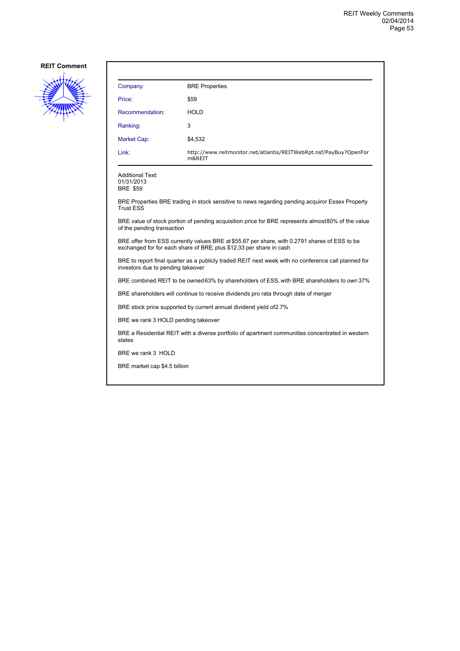

| Company:                                                                                                                                                             | <b>BRE Properties</b>                                                                           |  |
|----------------------------------------------------------------------------------------------------------------------------------------------------------------------|-------------------------------------------------------------------------------------------------|--|
| Price:                                                                                                                                                               | \$59                                                                                            |  |
| Recommendation:                                                                                                                                                      | <b>HOLD</b>                                                                                     |  |
| Ranking:                                                                                                                                                             | 3                                                                                               |  |
| <b>Market Cap:</b>                                                                                                                                                   | \$4,532                                                                                         |  |
| Link:                                                                                                                                                                | http://www.reitmonitor.net/atlantis/REITWebRpt.nsf/PayBuy?OpenFor<br>m&REIT                     |  |
| <b>Additional Text:</b><br>01/31/2013<br><b>BRE \$59</b>                                                                                                             |                                                                                                 |  |
| <b>Trust ESS</b>                                                                                                                                                     | BRE Properties BRE trading in stock sensitive to news regarding pending acquiror Essex Property |  |
| BRE value of stock portion of pending acquisition price for BRE represents almost 80% of the value<br>of the pending transaction                                     |                                                                                                 |  |
| BRE offer from ESS currently values BRE at \$55.87 per share, with 0.2791 shares of ESS to be<br>exchanged for for each share of BRE, plus \$12.33 per share in cash |                                                                                                 |  |
| BRE to report final quarter as a publicly traded REIT next week with no conference call planned for<br>investors due to pending takeover                             |                                                                                                 |  |
| BRE combined REIT to be owned 63% by shareholders of ESS, with BRE shareholders to own 37%                                                                           |                                                                                                 |  |
| BRE shareholders will continue to receive dividends pro rata through date of merger                                                                                  |                                                                                                 |  |
| BRE stock price supported by current annual dividend yield of 2.7%                                                                                                   |                                                                                                 |  |
| BRE we rank 3 HOLD pending takeover                                                                                                                                  |                                                                                                 |  |
| BRE a Residential REIT with a diverse portfolio of apartment communities concentrated in western<br>states                                                           |                                                                                                 |  |
| BRE we rank 3 HOLD                                                                                                                                                   |                                                                                                 |  |

BRE market cap \$4.5 billion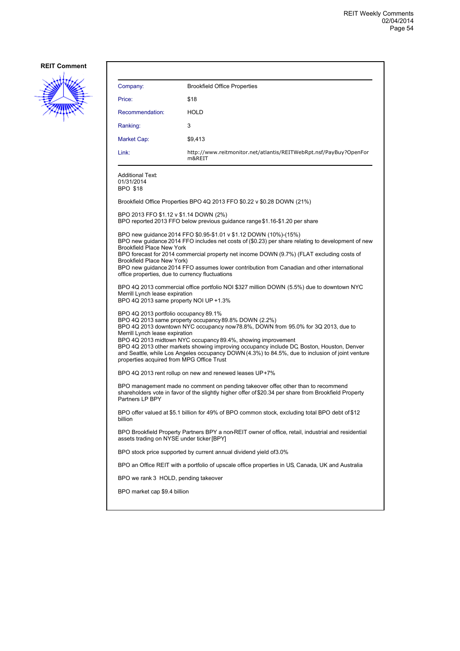

| Company:                                                                                                                                                                                                                                                                                                                                                                                                                                                                                                                            | <b>Brookfield Office Properties</b>                                                                                                                                                                                                                                                                                                                               |  |
|-------------------------------------------------------------------------------------------------------------------------------------------------------------------------------------------------------------------------------------------------------------------------------------------------------------------------------------------------------------------------------------------------------------------------------------------------------------------------------------------------------------------------------------|-------------------------------------------------------------------------------------------------------------------------------------------------------------------------------------------------------------------------------------------------------------------------------------------------------------------------------------------------------------------|--|
| Price:                                                                                                                                                                                                                                                                                                                                                                                                                                                                                                                              | \$18                                                                                                                                                                                                                                                                                                                                                              |  |
| Recommendation:                                                                                                                                                                                                                                                                                                                                                                                                                                                                                                                     | <b>HOLD</b>                                                                                                                                                                                                                                                                                                                                                       |  |
| Ranking:                                                                                                                                                                                                                                                                                                                                                                                                                                                                                                                            | 3                                                                                                                                                                                                                                                                                                                                                                 |  |
| Market Cap:                                                                                                                                                                                                                                                                                                                                                                                                                                                                                                                         | \$9,413                                                                                                                                                                                                                                                                                                                                                           |  |
| Link:                                                                                                                                                                                                                                                                                                                                                                                                                                                                                                                               | http://www.reitmonitor.net/atlantis/REITWebRpt.nsf/PayBuy?OpenFor<br>m&REIT                                                                                                                                                                                                                                                                                       |  |
| <b>Additional Text:</b><br>01/31/2014<br><b>BPO \$18</b>                                                                                                                                                                                                                                                                                                                                                                                                                                                                            |                                                                                                                                                                                                                                                                                                                                                                   |  |
|                                                                                                                                                                                                                                                                                                                                                                                                                                                                                                                                     | Brookfield Office Properties BPO 4Q 2013 FFO \$0.22 v \$0.28 DOWN (21%)                                                                                                                                                                                                                                                                                           |  |
| BPO 2013 FFO \$1.12 v \$1.14 DOWN (2%)                                                                                                                                                                                                                                                                                                                                                                                                                                                                                              | BPO reported 2013 FFO below previous guidance range \$1.16-\$1.20 per share                                                                                                                                                                                                                                                                                       |  |
| <b>Brookfield Place New York</b><br>Brookfield Place New York)<br>office properties, due to currency fluctuations                                                                                                                                                                                                                                                                                                                                                                                                                   | BPO new quidance 2014 FFO \$0.95-\$1.01 v \$1.12 DOWN (10%)-(15%)<br>BPO new guidance 2014 FFO includes net costs of (\$0.23) per share relating to development of new<br>BPO forecast for 2014 commercial property net income DOWN (9.7%) (FLAT excluding costs of<br>BPO new guidance 2014 FFO assumes lower contribution from Canadian and other international |  |
| Merrill Lynch lease expiration<br>BPO 4Q 2013 same property NOI UP +1.3%                                                                                                                                                                                                                                                                                                                                                                                                                                                            | BPO 4Q 2013 commercial office portfolio NOI \$327 million DOWN (5.5%) due to downtown NYC                                                                                                                                                                                                                                                                         |  |
| BPO 4Q 2013 portfolio occupancy 89.1%<br>BPO 4Q 2013 same property occupancy 89.8% DOWN (2.2%)<br>BPO 4Q 2013 downtown NYC occupancy now 78.8%, DOWN from 95.0% for 3Q 2013, due to<br>Merrill Lynch lease expiration<br>BPO 4Q 2013 midtown NYC occupancy 89.4%, showing improvement<br>BPO 4Q 2013 other markets showing improving occupancy include DC, Boston, Houston, Denver<br>and Seattle, while Los Angeles occupancy DOWN (4.3%) to 84.5%, due to inclusion of joint venture<br>properties acquired from MPG Office Trust |                                                                                                                                                                                                                                                                                                                                                                   |  |
|                                                                                                                                                                                                                                                                                                                                                                                                                                                                                                                                     | BPO 4Q 2013 rent rollup on new and renewed leases UP+7%                                                                                                                                                                                                                                                                                                           |  |
| BPO management made no comment on pending takeover offer, other than to recommend<br>shareholders vote in favor of the slightly higher offer of \$20.34 per share from Brookfield Property<br>Partners LP BPY                                                                                                                                                                                                                                                                                                                       |                                                                                                                                                                                                                                                                                                                                                                   |  |
| billion                                                                                                                                                                                                                                                                                                                                                                                                                                                                                                                             | BPO offer valued at \$5.1 billion for 49% of BPO common stock, excluding total BPO debt of \$12                                                                                                                                                                                                                                                                   |  |
| BPO Brookfield Property Partners BPY a non-REIT owner of office, retail, industrial and residential<br>assets trading on NYSE under ticker [BPY]                                                                                                                                                                                                                                                                                                                                                                                    |                                                                                                                                                                                                                                                                                                                                                                   |  |
|                                                                                                                                                                                                                                                                                                                                                                                                                                                                                                                                     | BPO stock price supported by current annual dividend yield of 3.0%                                                                                                                                                                                                                                                                                                |  |
| BPO an Office REIT with a portfolio of upscale office properties in US, Canada, UK and Australia                                                                                                                                                                                                                                                                                                                                                                                                                                    |                                                                                                                                                                                                                                                                                                                                                                   |  |
| BPO we rank 3 HOLD, pending takeover                                                                                                                                                                                                                                                                                                                                                                                                                                                                                                |                                                                                                                                                                                                                                                                                                                                                                   |  |
| BPO market cap \$9.4 billion                                                                                                                                                                                                                                                                                                                                                                                                                                                                                                        |                                                                                                                                                                                                                                                                                                                                                                   |  |
|                                                                                                                                                                                                                                                                                                                                                                                                                                                                                                                                     |                                                                                                                                                                                                                                                                                                                                                                   |  |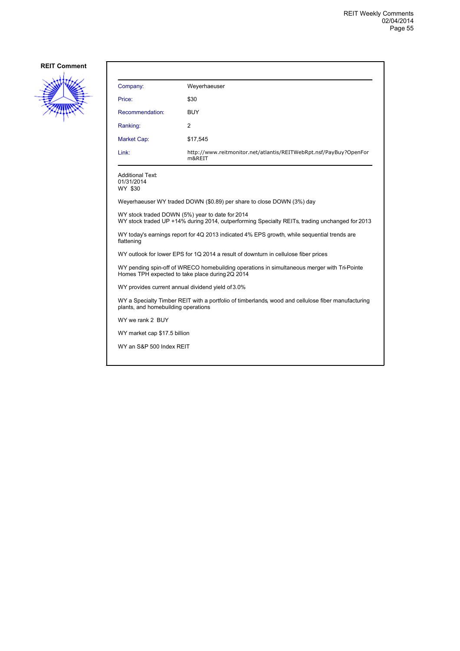

| Company:                                                              | Weyerhaeuser                                                                |  |
|-----------------------------------------------------------------------|-----------------------------------------------------------------------------|--|
| Price:                                                                | \$30                                                                        |  |
| Recommendation:                                                       | <b>BUY</b>                                                                  |  |
| Ranking:                                                              | $\overline{2}$                                                              |  |
| Market Cap:                                                           | \$17,545                                                                    |  |
| Link:                                                                 | http://www.reitmonitor.net/atlantis/REITWebRpt.nsf/PayBuy?OpenFor<br>m&REIT |  |
| <b>Additional Text:</b><br>01/31/2014<br>WY \$30                      |                                                                             |  |
| Weyerhaeuser WY traded DOWN (\$0.89) per share to close DOWN (3%) day |                                                                             |  |

WY stock traded DOWN (5%) year to date for 2014 WY stock traded UP +14% during 2014, outperforming Specialty REITs, trading unchanged for 2013

WY today's earnings report for 4Q 2013 indicated 4% EPS growth, while sequential trends are flattening

WY outlook for lower EPS for 1Q 2014 a result of downturn in cellulose fiber prices

WY pending spin-off of WRECO homebuilding operations in simultaneous merger with Tri-Pointe Homes TPH expected to take place during 2Q 2014

WY provides current annual dividend yield of 3.0%

WY a Specialty Timber REIT with a portfolio of timberlands, wood and cellulose fiber manufacturing plants, and homebuilding operations

WY we rank 2 BUY

WY market cap \$17.5 billion

WY an S&P 500 Index REIT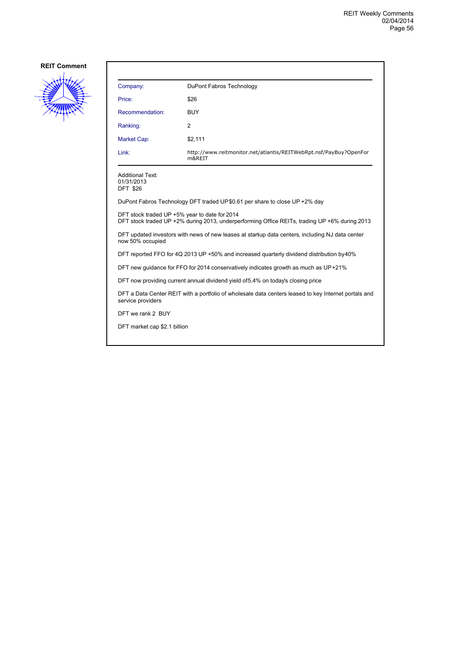

| Company:                                                 | DuPont Fabros Technology                                                    |
|----------------------------------------------------------|-----------------------------------------------------------------------------|
| Price:                                                   | \$26                                                                        |
| Recommendation:                                          | <b>BUY</b>                                                                  |
| Ranking:                                                 | 2                                                                           |
| Market Cap:                                              | \$2,111                                                                     |
| Link:                                                    | http://www.reitmonitor.net/atlantis/REITWebRpt.nsf/PayBuy?OpenFor<br>m&REIT |
| <b>Additional Text:</b><br>01/31/2013<br><b>DFT \$26</b> |                                                                             |

DuPont Fabros Technology DFT traded UP \$0.61 per share to close UP +2% day

DFT stock traded UP +5% year to date for 2014

DFT stock traded UP +2% during 2013, underperforming Office REITs, trading UP +6% during 2013

DFT updated investors with news of new leases at startup data centers, including NJ data center now 50% occupied

DFT reported FFO for 4Q 2013 UP +50% and increased quarterly dividend distribution by 40%

DFT new guidance for FFO for 2014 conservatively indicates growth as much as UP +21%

DFT now providing current annual dividend yield of 5.4% on today's closing price

DFT a Data Center REIT with a portfolio of wholesale data centers leased to key Internet portals and service providers

DFT we rank 2 BUY

DFT market cap \$2.1 billion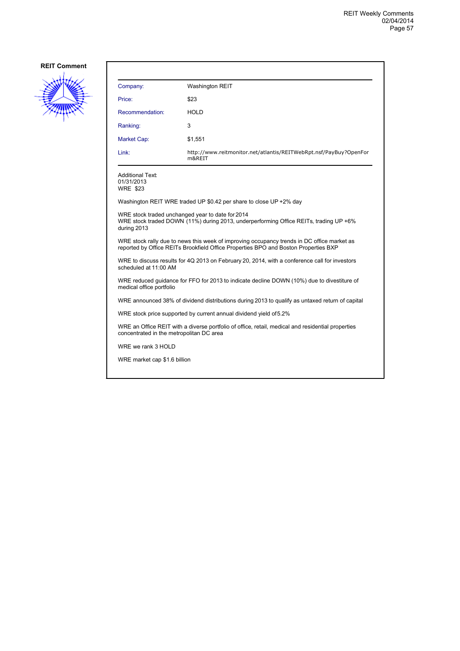

| Company:                                                                                                                                      | <b>Washington REIT</b>                                                                                                                                                            |  |
|-----------------------------------------------------------------------------------------------------------------------------------------------|-----------------------------------------------------------------------------------------------------------------------------------------------------------------------------------|--|
| Price:                                                                                                                                        | \$23                                                                                                                                                                              |  |
| Recommendation:                                                                                                                               | HOLD                                                                                                                                                                              |  |
| Ranking:                                                                                                                                      | 3                                                                                                                                                                                 |  |
| Market Cap:                                                                                                                                   | \$1,551                                                                                                                                                                           |  |
| Link:                                                                                                                                         | http://www.reitmonitor.net/atlantis/REITWebRpt.nsf/PayBuy?OpenFor<br>m&REIT                                                                                                       |  |
| <b>Additional Text:</b><br>01/31/2013<br><b>WRE \$23</b>                                                                                      |                                                                                                                                                                                   |  |
|                                                                                                                                               | Washington REIT WRE traded UP \$0.42 per share to close UP +2% day                                                                                                                |  |
| WRE stock traded unchanged year to date for 2014<br>during 2013                                                                               | WRE stock traded DOWN (11%) during 2013, underperforming Office REITs, trading UP +6%                                                                                             |  |
|                                                                                                                                               | WRE stock rally due to news this week of improving occupancy trends in DC office market as<br>reported by Office REITs Brookfield Office Properties BPO and Boston Properties BXP |  |
| WRE to discuss results for 4Q 2013 on February 20, 2014, with a conference call for investors<br>scheduled at 11:00 AM                        |                                                                                                                                                                                   |  |
| medical office portfolio                                                                                                                      | WRE reduced guidance for FFO for 2013 to indicate decline DOWN (10%) due to divestiture of                                                                                        |  |
| WRE announced 38% of dividend distributions during 2013 to qualify as untaxed return of capital                                               |                                                                                                                                                                                   |  |
| WRE stock price supported by current annual dividend yield of 5.2%                                                                            |                                                                                                                                                                                   |  |
| WRE an Office REIT with a diverse portfolio of office, retail, medical and residential properties<br>concentrated in the metropolitan DC area |                                                                                                                                                                                   |  |
| WRE we rank 3 HOLD                                                                                                                            |                                                                                                                                                                                   |  |
| WRE market cap \$1.6 billion                                                                                                                  |                                                                                                                                                                                   |  |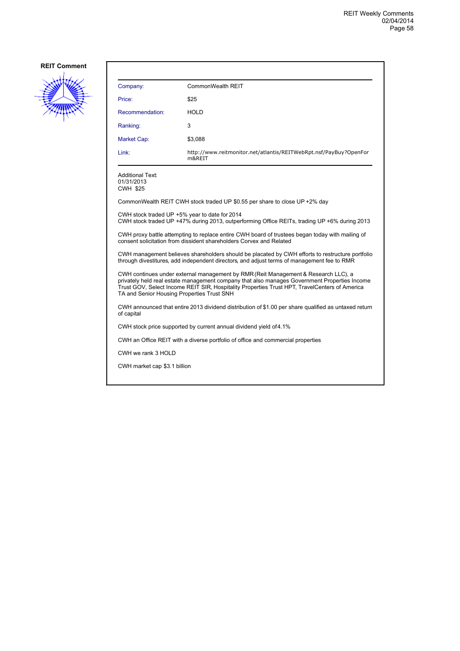

| Company:                                                                                                                                                                                      | CommonWealth REIT                                                           |  |
|-----------------------------------------------------------------------------------------------------------------------------------------------------------------------------------------------|-----------------------------------------------------------------------------|--|
| Price:                                                                                                                                                                                        | \$25                                                                        |  |
| Recommendation:                                                                                                                                                                               | <b>HOLD</b>                                                                 |  |
| Ranking:                                                                                                                                                                                      | 3                                                                           |  |
| Market Cap:                                                                                                                                                                                   | \$3,088                                                                     |  |
| Link:                                                                                                                                                                                         | http://www.reitmonitor.net/atlantis/REITWebRpt.nsf/PayBuy?OpenFor<br>m&REIT |  |
| <b>Additional Text:</b><br>01/31/2013<br><b>CWH \$25</b>                                                                                                                                      |                                                                             |  |
| CommonWealth REIT CWH stock traded UP \$0.55 per share to close UP +2% day                                                                                                                    |                                                                             |  |
| CWH stock traded UP +5% year to date for 2014<br>CWH stock traded UP +47% during 2013, outperforming Office REITs, trading UP +6% during 2013                                                 |                                                                             |  |
| CWH proxy battle attempting to replace entire CWH board of trustees began today with mailing of<br>consent solicitation from dissident shareholders Corvex and Related                        |                                                                             |  |
| CWH management believes shareholders should be placated by CWH efforts to restructure portfolio<br>through divestitures, add independent directors, and adjust terms of management fee to RMR |                                                                             |  |

CWH continues under external management by RMR (Reit Management & Research LLC), a privately held real estate management company that also manages Government Properties Income Trust GOV, Select Income REIT SIR, Hospitality Properties Trust HPT, TravelCenters of America TA and Senior Housing Properties Trust SNH

CWH announced that entire 2013 dividend distribution of \$1.00 per share qualified as untaxed return of capital

CWH stock price supported by current annual dividend yield of 4.1%

CWH an Office REIT with a diverse portfolio of office and commercial properties

CWH we rank 3 HOLD

CWH market cap \$3.1 billion